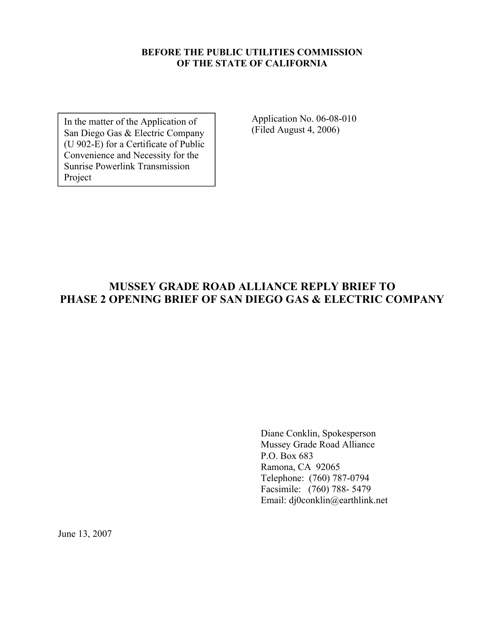#### **BEFORE THE PUBLIC UTILITIES COMMISSION OF THE STATE OF CALIFORNIA**

In the matter of the Application of San Diego Gas & Electric Company (U 902-E) for a Certificate of Public Convenience and Necessity for the Sunrise Powerlink Transmission Project

Application No. 06-08-010 (Filed August 4, 2006)

### **MUSSEY GRADE ROAD ALLIANCE REPLY BRIEF TO PHASE 2 OPENING BRIEF OF SAN DIEGO GAS & ELECTRIC COMPANY**

Diane Conklin, Spokesperson Mussey Grade Road Alliance P.O. Box 683 Ramona, CA 92065 Telephone: (760) 787-0794 Facsimile: (760) 788- 5479 Email: dj0conklin@earthlink.net

June 13, 2007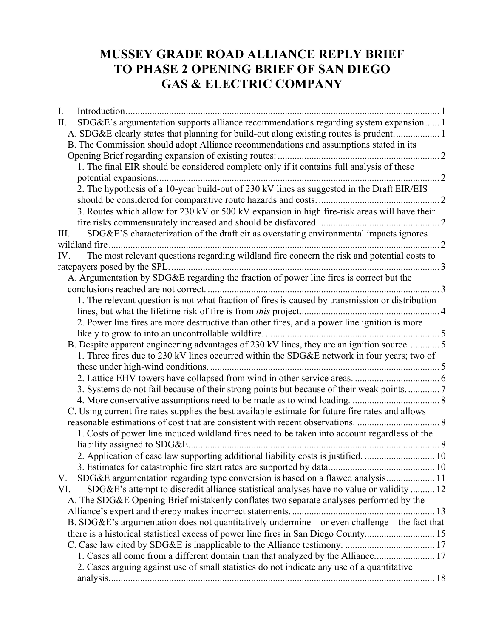# **MUSSEY GRADE ROAD ALLIANCE REPLY BRIEF TO PHASE 2 OPENING BRIEF OF SAN DIEGO GAS & ELECTRIC COMPANY**

| I.                                                                                                 |  |
|----------------------------------------------------------------------------------------------------|--|
| SDG&E's argumentation supports alliance recommendations regarding system expansion 1<br>П.         |  |
| A. SDG&E clearly states that planning for build-out along existing routes is prudent 1             |  |
| B. The Commission should adopt Alliance recommendations and assumptions stated in its              |  |
|                                                                                                    |  |
| 1. The final EIR should be considered complete only if it contains full analysis of these          |  |
|                                                                                                    |  |
| 2. The hypothesis of a 10-year build-out of 230 kV lines as suggested in the Draft EIR/EIS         |  |
|                                                                                                    |  |
| 3. Routes which allow for 230 kV or 500 kV expansion in high fire-risk areas will have their       |  |
|                                                                                                    |  |
| SDG&E'S characterization of the draft eir as overstating environmental impacts ignores<br>III.     |  |
|                                                                                                    |  |
| The most relevant questions regarding wildland fire concern the risk and potential costs to<br>IV. |  |
|                                                                                                    |  |
| A. Argumentation by SDG&E regarding the fraction of power line fires is correct but the            |  |
|                                                                                                    |  |
| 1. The relevant question is not what fraction of fires is caused by transmission or distribution   |  |
|                                                                                                    |  |
| 2. Power line fires are more destructive than other fires, and a power line ignition is more       |  |
|                                                                                                    |  |
| B. Despite apparent engineering advantages of 230 kV lines, they are an ignition source5           |  |
| 1. Three fires due to 230 kV lines occurred within the SDG&E network in four years; two of         |  |
|                                                                                                    |  |
|                                                                                                    |  |
| 3. Systems do not fail because of their strong points but because of their weak points 7           |  |
|                                                                                                    |  |
| C. Using current fire rates supplies the best available estimate for future fire rates and allows  |  |
|                                                                                                    |  |
| 1. Costs of power line induced wildland fires need to be taken into account regardless of the      |  |
|                                                                                                    |  |
|                                                                                                    |  |
|                                                                                                    |  |
| SDG&E argumentation regarding type conversion is based on a flawed analysis 11<br>V.               |  |
| SDG&E's attempt to discredit alliance statistical analyses have no value or validity  12<br>VI.    |  |
| A. The SDG&E Opening Brief mistakenly conflates two separate analyses performed by the             |  |
|                                                                                                    |  |
| B. SDG&E's argumentation does not quantitatively undermine – or even challenge – the fact that     |  |
| there is a historical statistical excess of power line fires in San Diego County 15                |  |
|                                                                                                    |  |
| 1. Cases all come from a different domain than that analyzed by the Alliance 17                    |  |
| 2. Cases arguing against use of small statistics do not indicate any use of a quantitative         |  |
|                                                                                                    |  |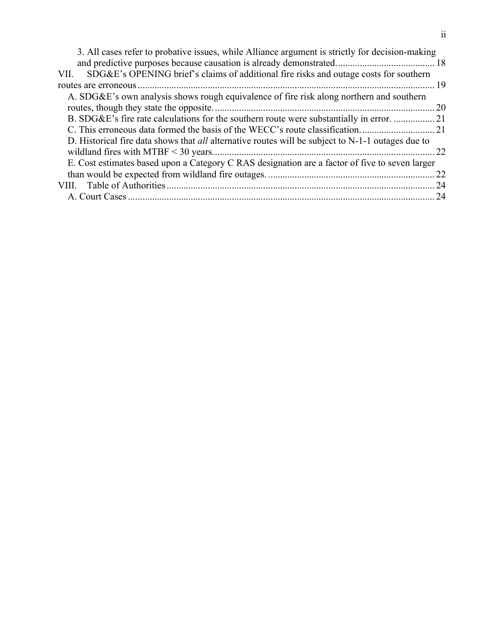| 3. All cases refer to probative issues, while Alliance argument is strictly for decision-making            |     |
|------------------------------------------------------------------------------------------------------------|-----|
|                                                                                                            |     |
| SDG&E's OPENING brief's claims of additional fire risks and outage costs for southern<br>VII.              |     |
|                                                                                                            | -19 |
| A. SDG&E's own analysis shows rough equivalence of fire risk along northern and southern                   |     |
|                                                                                                            | 20  |
| B. SDG&E's fire rate calculations for the southern route were substantially in error. 21                   |     |
|                                                                                                            |     |
| D. Historical fire data shows that <i>all</i> alternative routes will be subject to $N-1-1$ outages due to |     |
|                                                                                                            | 22  |
| E. Cost estimates based upon a Category C RAS designation are a factor of five to seven larger             |     |
|                                                                                                            | -22 |
|                                                                                                            |     |
|                                                                                                            |     |
|                                                                                                            |     |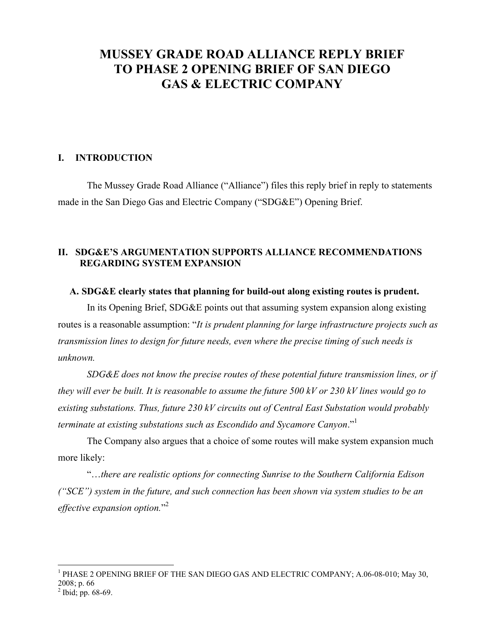# **MUSSEY GRADE ROAD ALLIANCE REPLY BRIEF TO PHASE 2 OPENING BRIEF OF SAN DIEGO GAS & ELECTRIC COMPANY**

#### **I. INTRODUCTION**

The Mussey Grade Road Alliance ("Alliance") files this reply brief in reply to statements made in the San Diego Gas and Electric Company ("SDG&E") Opening Brief.

#### **II. SDG&E'S ARGUMENTATION SUPPORTS ALLIANCE RECOMMENDATIONS REGARDING SYSTEM EXPANSION**

#### **A. SDG&E clearly states that planning for build-out along existing routes is prudent.**

In its Opening Brief, SDG&E points out that assuming system expansion along existing routes is a reasonable assumption: "*It is prudent planning for large infrastructure projects such as transmission lines to design for future needs, even where the precise timing of such needs is unknown.*

*SDG&E does not know the precise routes of these potential future transmission lines, or if they will ever be built. It is reasonable to assume the future 500 kV or 230 kV lines would go to existing substations. Thus, future 230 kV circuits out of Central East Substation would probably terminate at existing substations such as Escondido and Sycamore Canyon*."1

The Company also argues that a choice of some routes will make system expansion much more likely:

"…*there are realistic options for connecting Sunrise to the Southern California Edison ("SCE") system in the future, and such connection has been shown via system studies to be an effective expansion option.*" 2

<sup>&</sup>lt;sup>1</sup> PHASE 2 OPENING BRIEF OF THE SAN DIEGO GAS AND ELECTRIC COMPANY; A.06-08-010; May 30, 2008; p. 66<br><sup>2</sup> Ibid; pp. 68-69.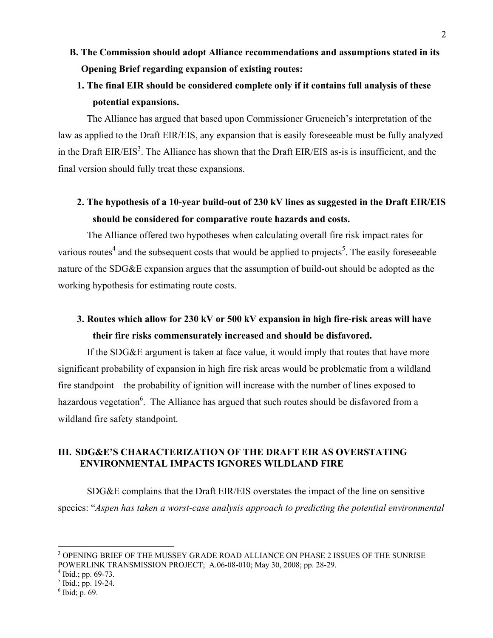- **B. The Commission should adopt Alliance recommendations and assumptions stated in its Opening Brief regarding expansion of existing routes:**
	- **1. The final EIR should be considered complete only if it contains full analysis of these potential expansions.**

The Alliance has argued that based upon Commissioner Grueneich's interpretation of the law as applied to the Draft EIR/EIS, any expansion that is easily foreseeable must be fully analyzed in the Draft  $EIR/EIS<sup>3</sup>$ . The Alliance has shown that the Draft  $EIR/EIS$  as-is is insufficient, and the final version should fully treat these expansions.

### **2. The hypothesis of a 10-year build-out of 230 kV lines as suggested in the Draft EIR/EIS should be considered for comparative route hazards and costs.**

The Alliance offered two hypotheses when calculating overall fire risk impact rates for various routes<sup>4</sup> and the subsequent costs that would be applied to projects<sup>5</sup>. The easily foreseeable nature of the SDG&E expansion argues that the assumption of build-out should be adopted as the working hypothesis for estimating route costs.

## **3. Routes which allow for 230 kV or 500 kV expansion in high fire-risk areas will have their fire risks commensurately increased and should be disfavored.**

If the SDG&E argument is taken at face value, it would imply that routes that have more significant probability of expansion in high fire risk areas would be problematic from a wildland fire standpoint – the probability of ignition will increase with the number of lines exposed to hazardous vegetation<sup>6</sup>. The Alliance has argued that such routes should be disfavored from a wildland fire safety standpoint.

#### **III. SDG&E'S CHARACTERIZATION OF THE DRAFT EIR AS OVERSTATING ENVIRONMENTAL IMPACTS IGNORES WILDLAND FIRE**

SDG&E complains that the Draft EIR/EIS overstates the impact of the line on sensitive species: "*Aspen has taken a worst-case analysis approach to predicting the potential environmental*

 $^4$  Ibid.; pp. 69-73.<br><sup>5</sup> Ibid.; pp. 19-24.

<sup>3</sup> OPENING BRIEF OF THE MUSSEY GRADE ROAD ALLIANCE ON PHASE 2 ISSUES OF THE SUNRISE POWERLINK TRANSMISSION PROJECT; A.06-08-010; May 30, 2008; pp. 28-29.

 $6$  Ibid; p. 69.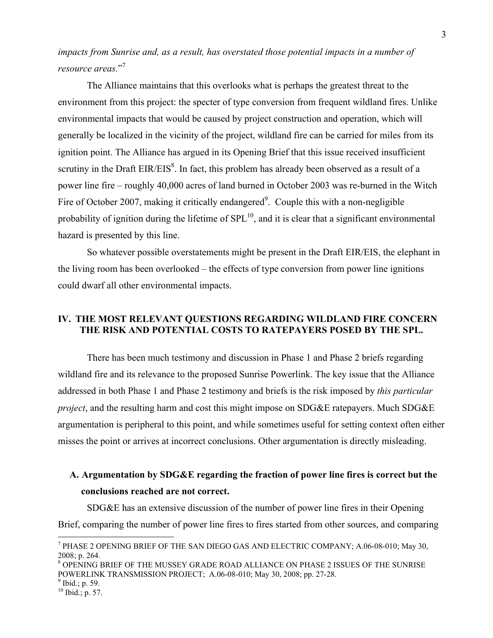*impacts from Sunrise and, as a result, has overstated those potential impacts in a number of resource areas.*" 7

The Alliance maintains that this overlooks what is perhaps the greatest threat to the environment from this project: the specter of type conversion from frequent wildland fires. Unlike environmental impacts that would be caused by project construction and operation, which will generally be localized in the vicinity of the project, wildland fire can be carried for miles from its ignition point. The Alliance has argued in its Opening Brief that this issue received insufficient scrutiny in the Draft  $EIR/EIS<sup>8</sup>$ . In fact, this problem has already been observed as a result of a power line fire – roughly 40,000 acres of land burned in October 2003 was re-burned in the Witch Fire of October 2007, making it critically endangered<sup>9</sup>. Couple this with a non-negligible probability of ignition during the lifetime of  $SPL<sup>10</sup>$ , and it is clear that a significant environmental hazard is presented by this line.

So whatever possible overstatements might be present in the Draft EIR/EIS, the elephant in the living room has been overlooked – the effects of type conversion from power line ignitions could dwarf all other environmental impacts.

#### **IV. THE MOST RELEVANT QUESTIONS REGARDING WILDLAND FIRE CONCERN THE RISK AND POTENTIAL COSTS TO RATEPAYERS POSED BY THE SPL.**

There has been much testimony and discussion in Phase 1 and Phase 2 briefs regarding wildland fire and its relevance to the proposed Sunrise Powerlink. The key issue that the Alliance addressed in both Phase 1 and Phase 2 testimony and briefs is the risk imposed by *this particular project*, and the resulting harm and cost this might impose on SDG&E ratepayers. Much SDG&E argumentation is peripheral to this point, and while sometimes useful for setting context often either misses the point or arrives at incorrect conclusions. Other argumentation is directly misleading.

### **A. Argumentation by SDG&E regarding the fraction of power line fires is correct but the conclusions reached are not correct.**

SDG&E has an extensive discussion of the number of power line fires in their Opening Brief, comparing the number of power line fires to fires started from other sources, and comparing

 $^7$  PHASE 2 OPENING BRIEF OF THE SAN DIEGO GAS AND ELECTRIC COMPANY; A.06-08-010; May 30, 2008; p. 264.

<sup>8</sup> OPENING BRIEF OF THE MUSSEY GRADE ROAD ALLIANCE ON PHASE 2 ISSUES OF THE SUNRISE POWERLINK TRANSMISSION PROJECT; A.06-08-010; May 30, 2008; pp. 27-28.

 $9$  Ibid.; p. 59.

 $^{10}$  Ibid.; p. 57.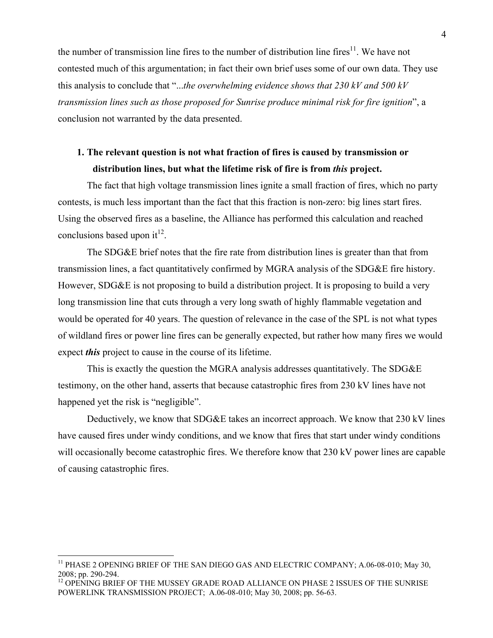the number of transmission line fires to the number of distribution line fires<sup>11</sup>. We have not contested much of this argumentation; in fact their own brief uses some of our own data. They use this analysis to conclude that "...*the overwhelming evidence shows that 230 kV and 500 kV transmission lines such as those proposed for Sunrise produce minimal risk for fire ignition*", a conclusion not warranted by the data presented.

### **1. The relevant question is not what fraction of fires is caused by transmission or distribution lines, but what the lifetime risk of fire is from** *this* **project.**

The fact that high voltage transmission lines ignite a small fraction of fires, which no party contests, is much less important than the fact that this fraction is non-zero: big lines start fires. Using the observed fires as a baseline, the Alliance has performed this calculation and reached conclusions based upon it $^{12}$ .

The SDG&E brief notes that the fire rate from distribution lines is greater than that from transmission lines, a fact quantitatively confirmed by MGRA analysis of the SDG&E fire history. However, SDG&E is not proposing to build a distribution project. It is proposing to build a very long transmission line that cuts through a very long swath of highly flammable vegetation and would be operated for 40 years. The question of relevance in the case of the SPL is not what types of wildland fires or power line fires can be generally expected, but rather how many fires we would expect *this* project to cause in the course of its lifetime.

This is exactly the question the MGRA analysis addresses quantitatively. The SDG&E testimony, on the other hand, asserts that because catastrophic fires from 230 kV lines have not happened yet the risk is "negligible".

Deductively, we know that SDG&E takes an incorrect approach. We know that 230 kV lines have caused fires under windy conditions, and we know that fires that start under windy conditions will occasionally become catastrophic fires. We therefore know that 230 kV power lines are capable of causing catastrophic fires.

<sup>&</sup>lt;sup>11</sup> PHASE 2 OPENING BRIEF OF THE SAN DIEGO GAS AND ELECTRIC COMPANY; A.06-08-010; May 30, 2008; pp. 290-294.

<sup>&</sup>lt;sup>12</sup> OPENING BRIEF OF THE MUSSEY GRADE ROAD ALLIANCE ON PHASE 2 ISSUES OF THE SUNRISE POWERLINK TRANSMISSION PROJECT; A.06-08-010; May 30, 2008; pp. 56-63.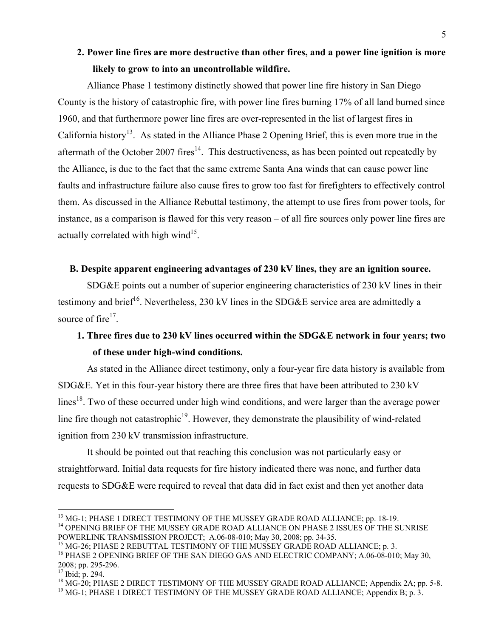### **2. Power line fires are more destructive than other fires, and a power line ignition is more likely to grow to into an uncontrollable wildfire.**

Alliance Phase 1 testimony distinctly showed that power line fire history in San Diego County is the history of catastrophic fire, with power line fires burning 17% of all land burned since 1960, and that furthermore power line fires are over-represented in the list of largest fires in California history<sup>13</sup>. As stated in the Alliance Phase 2 Opening Brief, this is even more true in the aftermath of the October 2007 fires<sup>14</sup>. This destructiveness, as has been pointed out repeatedly by the Alliance, is due to the fact that the same extreme Santa Ana winds that can cause power line faults and infrastructure failure also cause fires to grow too fast for firefighters to effectively control them. As discussed in the Alliance Rebuttal testimony, the attempt to use fires from power tools, for instance, as a comparison is flawed for this very reason – of all fire sources only power line fires are actually correlated with high wind $15$ .

#### **B. Despite apparent engineering advantages of 230 kV lines, they are an ignition source.**

SDG&E points out a number of superior engineering characteristics of 230 kV lines in their testimony and brief<sup>16</sup>. Nevertheless, 230 kV lines in the SDG&E service area are admittedly a source of fire $17$ .

### **1. Three fires due to 230 kV lines occurred within the SDG&E network in four years; two of these under high-wind conditions.**

As stated in the Alliance direct testimony, only a four-year fire data history is available from SDG&E. Yet in this four-year history there are three fires that have been attributed to 230 kV lines<sup>18</sup>. Two of these occurred under high wind conditions, and were larger than the average power line fire though not catastrophic<sup>19</sup>. However, they demonstrate the plausibility of wind-related ignition from 230 kV transmission infrastructure.

It should be pointed out that reaching this conclusion was not particularly easy or straightforward. Initial data requests for fire history indicated there was none, and further data requests to SDG&E were required to reveal that data did in fact exist and then yet another data

<sup>&</sup>lt;sup>13</sup> MG-1; PHASE 1 DIRECT TESTIMONY OF THE MUSSEY GRADE ROAD ALLIANCE; pp. 18-19. <sup>14</sup> OPENING BRIEF OF THE MUSSEY GRADE ROAD ALLIANCE ON PHASE 2 ISSUES OF THE SUNRISE

POWERLINK TRANSMISSION PROJECT; A.06-08-010; May 30, 2008; pp. 34-35.

<sup>&</sup>lt;sup>15</sup> MG-26; PHASE 2 REBUTTAL TESTIMONY OF THE MUSSEY GRADE ROAD ALLIANCE; p. 3.

<sup>&</sup>lt;sup>16</sup> PHASE 2 OPENING BRIEF OF THE SAN DIEGO GAS AND ELECTRIC COMPANY; A.06-08-010; May 30, 2008; pp. 295-296.

<sup>&</sup>lt;sup>17</sup> Ibid; p. 294.

 $^{18}$  MG-20; PHASE 2 DIRECT TESTIMONY OF THE MUSSEY GRADE ROAD ALLIANCE; Appendix 2A; pp. 5-8.

<sup>&</sup>lt;sup>19</sup> MG-1; PHASE 1 DIRECT TESTIMONY OF THE MUSSEY GRADE ROAD ALLIANCE; Appendix B; p. 3.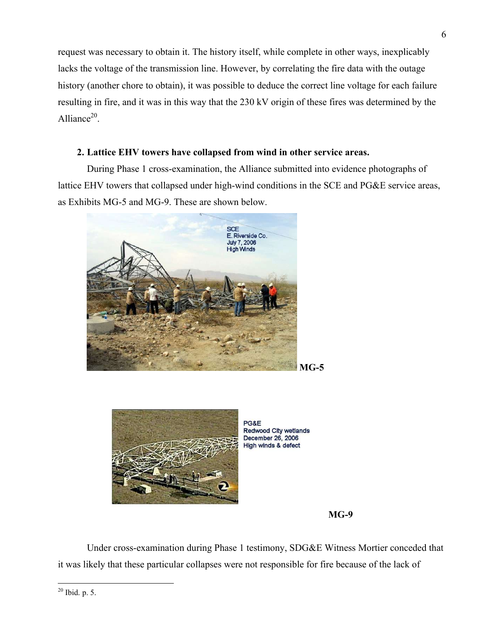request was necessary to obtain it. The history itself, while complete in other ways, inexplicably lacks the voltage of the transmission line. However, by correlating the fire data with the outage history (another chore to obtain), it was possible to deduce the correct line voltage for each failure resulting in fire, and it was in this way that the 230 kV origin of these fires was determined by the Alliance $^{20}$ .

### **2. Lattice EHV towers have collapsed from wind in other service areas.**

During Phase 1 cross-examination, the Alliance submitted into evidence photographs of lattice EHV towers that collapsed under high-wind conditions in the SCE and PG&E service areas, as Exhibits MG-5 and MG-9. These are shown below.





PG&E **Redwood City wetlands** December 26, 2006 High winds & defect

#### **MG-9**

Under cross-examination during Phase 1 testimony, SDG&E Witness Mortier conceded that it was likely that these particular collapses were not responsible for fire because of the lack of

 $\overline{a}$  $^{20}$  Ibid. p. 5.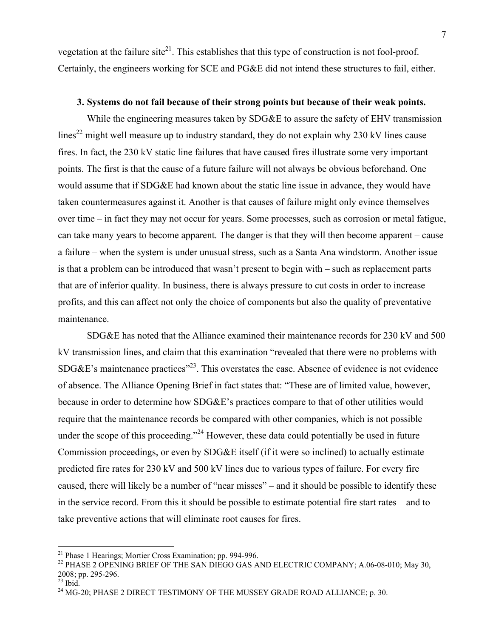vegetation at the failure site<sup>21</sup>. This establishes that this type of construction is not fool-proof. Certainly, the engineers working for SCE and PG&E did not intend these structures to fail, either.

#### **3. Systems do not fail because of their strong points but because of their weak points.**

While the engineering measures taken by SDG&E to assure the safety of EHV transmission lines<sup>22</sup> might well measure up to industry standard, they do not explain why 230 kV lines cause fires. In fact, the 230 kV static line failures that have caused fires illustrate some very important points. The first is that the cause of a future failure will not always be obvious beforehand. One would assume that if SDG&E had known about the static line issue in advance, they would have taken countermeasures against it. Another is that causes of failure might only evince themselves over time – in fact they may not occur for years. Some processes, such as corrosion or metal fatigue, can take many years to become apparent. The danger is that they will then become apparent – cause a failure – when the system is under unusual stress, such as a Santa Ana windstorm. Another issue is that a problem can be introduced that wasn't present to begin with – such as replacement parts that are of inferior quality. In business, there is always pressure to cut costs in order to increase profits, and this can affect not only the choice of components but also the quality of preventative maintenance.

SDG&E has noted that the Alliance examined their maintenance records for 230 kV and 500 kV transmission lines, and claim that this examination "revealed that there were no problems with  $SDG&E$ 's maintenance practices<sup> $23$ </sup>. This overstates the case. Absence of evidence is not evidence of absence. The Alliance Opening Brief in fact states that: "These are of limited value, however, because in order to determine how SDG&E's practices compare to that of other utilities would require that the maintenance records be compared with other companies, which is not possible under the scope of this proceeding."<sup>24</sup> However, these data could potentially be used in future Commission proceedings, or even by SDG&E itself (if it were so inclined) to actually estimate predicted fire rates for 230 kV and 500 kV lines due to various types of failure. For every fire caused, there will likely be a number of "near misses" – and it should be possible to identify these in the service record. From this it should be possible to estimate potential fire start rates – and to take preventive actions that will eliminate root causes for fires.

1

<sup>21</sup> Phase 1 Hearings; Mortier Cross Examination; pp. 994-996.

<sup>&</sup>lt;sup>22</sup> PHASE 2 OPENING BRIEF OF THE SAN DIEGO GAS AND ELECTRIC COMPANY; A.06-08-010; May 30, 2008; pp. 295-296.

 $^{23}$  Ibid.

 $24$  MG-20; PHASE 2 DIRECT TESTIMONY OF THE MUSSEY GRADE ROAD ALLIANCE; p. 30.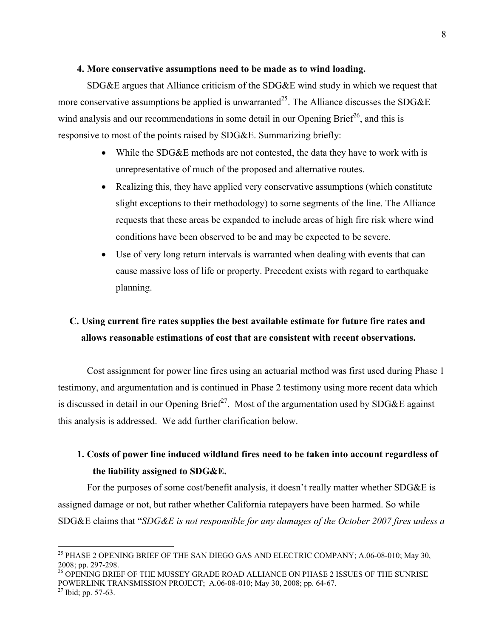#### **4. More conservative assumptions need to be made as to wind loading.**

SDG&E argues that Alliance criticism of the SDG&E wind study in which we request that more conservative assumptions be applied is unwarranted<sup>25</sup>. The Alliance discusses the SDG&E wind analysis and our recommendations in some detail in our Opening Brief<sup>26</sup>, and this is responsive to most of the points raised by SDG&E. Summarizing briefly:

- While the SDG&E methods are not contested, the data they have to work with is unrepresentative of much of the proposed and alternative routes.
- Realizing this, they have applied very conservative assumptions (which constitute slight exceptions to their methodology) to some segments of the line. The Alliance requests that these areas be expanded to include areas of high fire risk where wind conditions have been observed to be and may be expected to be severe.
- Use of very long return intervals is warranted when dealing with events that can cause massive loss of life or property. Precedent exists with regard to earthquake planning.

## **C. Using current fire rates supplies the best available estimate for future fire rates and allows reasonable estimations of cost that are consistent with recent observations.**

Cost assignment for power line fires using an actuarial method was first used during Phase 1 testimony, and argumentation and is continued in Phase 2 testimony using more recent data which is discussed in detail in our Opening Brief<sup>27</sup>. Most of the argumentation used by SDG&E against this analysis is addressed. We add further clarification below.

### **1. Costs of power line induced wildland fires need to be taken into account regardless of the liability assigned to SDG&E.**

For the purposes of some cost/benefit analysis, it doesn't really matter whether SDG&E is assigned damage or not, but rather whether California ratepayers have been harmed. So while SDG&E claims that "*SDG&E is not responsible for any damages of the October 2007 fires unless a* 

<sup>&</sup>lt;sup>25</sup> PHASE 2 OPENING BRIEF OF THE SAN DIEGO GAS AND ELECTRIC COMPANY; A.06-08-010; May 30, 2008; pp. 297-298.

<sup>&</sup>lt;sup>26</sup> OPENING BRIEF OF THE MUSSEY GRADE ROAD ALLIANCE ON PHASE 2 ISSUES OF THE SUNRISE POWERLINK TRANSMISSION PROJECT; A.06-08-010; May 30, 2008; pp. 64-67.

 $^{27}$  Ibid; pp. 57-63.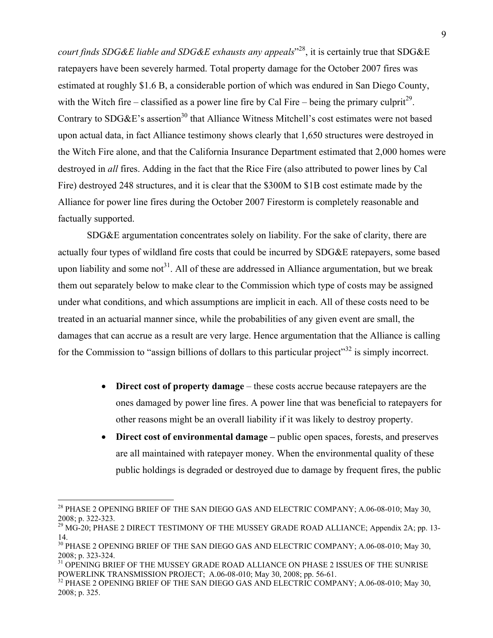*court finds SDG&E liable and SDG&E exhausts any appeals*" 28, it is certainly true that SDG&E ratepayers have been severely harmed. Total property damage for the October 2007 fires was estimated at roughly \$1.6 B, a considerable portion of which was endured in San Diego County, with the Witch fire – classified as a power line fire by Cal Fire – being the primary culprit<sup>29</sup>. Contrary to SDG&E's assertion<sup>30</sup> that Alliance Witness Mitchell's cost estimates were not based upon actual data, in fact Alliance testimony shows clearly that 1,650 structures were destroyed in the Witch Fire alone, and that the California Insurance Department estimated that 2,000 homes were destroyed in *all* fires. Adding in the fact that the Rice Fire (also attributed to power lines by Cal Fire) destroyed 248 structures, and it is clear that the \$300M to \$1B cost estimate made by the Alliance for power line fires during the October 2007 Firestorm is completely reasonable and factually supported.

SDG&E argumentation concentrates solely on liability. For the sake of clarity, there are actually four types of wildland fire costs that could be incurred by SDG&E ratepayers, some based upon liability and some not<sup>31</sup>. All of these are addressed in Alliance argumentation, but we break them out separately below to make clear to the Commission which type of costs may be assigned under what conditions, and which assumptions are implicit in each. All of these costs need to be treated in an actuarial manner since, while the probabilities of any given event are small, the damages that can accrue as a result are very large. Hence argumentation that the Alliance is calling for the Commission to "assign billions of dollars to this particular project"<sup>32</sup> is simply incorrect.

- **Direct cost of property damage**  these costs accrue because ratepayers are the ones damaged by power line fires. A power line that was beneficial to ratepayers for other reasons might be an overall liability if it was likely to destroy property.
- **Direct cost of environmental damage –** public open spaces, forests, and preserves are all maintained with ratepayer money. When the environmental quality of these public holdings is degraded or destroyed due to damage by frequent fires, the public

1

<sup>&</sup>lt;sup>28</sup> PHASE 2 OPENING BRIEF OF THE SAN DIEGO GAS AND ELECTRIC COMPANY; A.06-08-010; May 30, 2008; p. 322-323.

<sup>&</sup>lt;sup>29</sup> MG-20; PHASE 2 DIRECT TESTIMONY OF THE MUSSEY GRADE ROAD ALLIANCE; Appendix 2A; pp. 13-14.

<sup>&</sup>lt;sup>30</sup> PHASE 2 OPENING BRIEF OF THE SAN DIEGO GAS AND ELECTRIC COMPANY: A.06-08-010; May 30, 2008; p. 323-324.

<sup>&</sup>lt;sup>31</sup> OPENING BRIEF OF THE MUSSEY GRADE ROAD ALLIANCE ON PHASE 2 ISSUES OF THE SUNRISE POWERLINK TRANSMISSION PROJECT; A.06-08-010; May 30, 2008; pp. 56-61.

<sup>&</sup>lt;sup>32</sup> PHASE 2 OPENING BRIEF OF THE SAN DIEGO GAS AND ELECTRIC COMPANY; A.06-08-010; May 30, 2008; p. 325.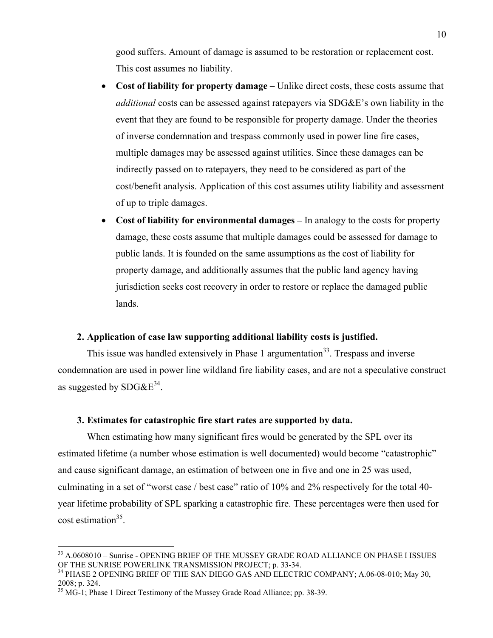good suffers. Amount of damage is assumed to be restoration or replacement cost. This cost assumes no liability.

- **Cost of liability for property damage** Unlike direct costs, these costs assume that *additional* costs can be assessed against ratepayers via SDG&E's own liability in the event that they are found to be responsible for property damage. Under the theories of inverse condemnation and trespass commonly used in power line fire cases, multiple damages may be assessed against utilities. Since these damages can be indirectly passed on to ratepayers, they need to be considered as part of the cost/benefit analysis. Application of this cost assumes utility liability and assessment of up to triple damages.
- **Cost of liability for environmental damages –** In analogy to the costs for property damage, these costs assume that multiple damages could be assessed for damage to public lands. It is founded on the same assumptions as the cost of liability for property damage, and additionally assumes that the public land agency having jurisdiction seeks cost recovery in order to restore or replace the damaged public lands.

#### **2. Application of case law supporting additional liability costs is justified.**

This issue was handled extensively in Phase 1 argumentation<sup>33</sup>. Trespass and inverse condemnation are used in power line wildland fire liability cases, and are not a speculative construct as suggested by  $SDG\&E^{34}$ .

#### **3. Estimates for catastrophic fire start rates are supported by data.**

When estimating how many significant fires would be generated by the SPL over its estimated lifetime (a number whose estimation is well documented) would become "catastrophic" and cause significant damage, an estimation of between one in five and one in 25 was used, culminating in a set of "worst case / best case" ratio of 10% and 2% respectively for the total 40 year lifetime probability of SPL sparking a catastrophic fire. These percentages were then used for  $cost$  estimation<sup>35</sup>.

<sup>33</sup> A.0608010 – Sunrise - OPENING BRIEF OF THE MUSSEY GRADE ROAD ALLIANCE ON PHASE I ISSUES OF THE SUNRISE POWERLINK TRANSMISSION PROJECT; p. 33-34.

<sup>&</sup>lt;sup>34</sup> PHASE 2 OPENING BRIEF OF THE SAN DIEGO GAS AND ELECTRIC COMPANY; A.06-08-010; May 30, 2008; p. 324.

<sup>&</sup>lt;sup>35</sup> MG-1; Phase 1 Direct Testimony of the Mussey Grade Road Alliance; pp. 38-39.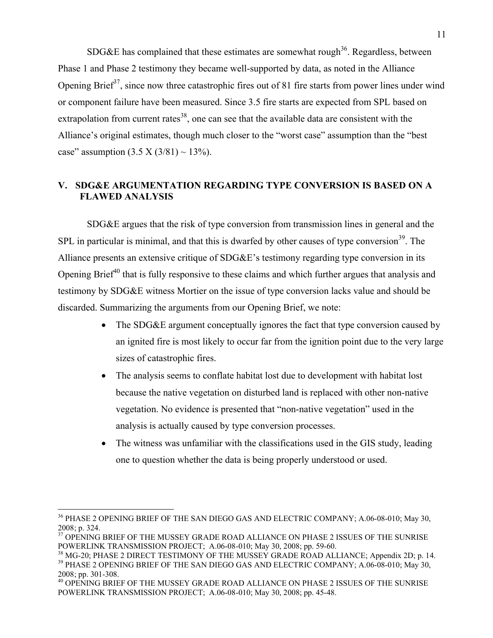SDG&E has complained that these estimates are somewhat rough<sup>36</sup>. Regardless, between Phase 1 and Phase 2 testimony they became well-supported by data, as noted in the Alliance Opening Brief<sup>37</sup>, since now three catastrophic fires out of 81 fire starts from power lines under wind or component failure have been measured. Since 3.5 fire starts are expected from SPL based on extrapolation from current rates<sup>38</sup>, one can see that the available data are consistent with the Alliance's original estimates, though much closer to the "worst case" assumption than the "best case" assumption  $(3.5 \text{ X } (3/81) \sim 13\%)$ .

#### **V. SDG&E ARGUMENTATION REGARDING TYPE CONVERSION IS BASED ON A FLAWED ANALYSIS**

SDG&E argues that the risk of type conversion from transmission lines in general and the SPL in particular is minimal, and that this is dwarfed by other causes of type conversion<sup>39</sup>. The Alliance presents an extensive critique of SDG&E's testimony regarding type conversion in its Opening Brief<sup> $40$ </sup> that is fully responsive to these claims and which further argues that analysis and testimony by SDG&E witness Mortier on the issue of type conversion lacks value and should be discarded. Summarizing the arguments from our Opening Brief, we note:

- The SDG&E argument conceptually ignores the fact that type conversion caused by an ignited fire is most likely to occur far from the ignition point due to the very large sizes of catastrophic fires.
- The analysis seems to conflate habitat lost due to development with habitat lost because the native vegetation on disturbed land is replaced with other non-native vegetation. No evidence is presented that "non-native vegetation" used in the analysis is actually caused by type conversion processes.
- The witness was unfamiliar with the classifications used in the GIS study, leading one to question whether the data is being properly understood or used.

<sup>&</sup>lt;sup>36</sup> PHASE 2 OPENING BRIEF OF THE SAN DIEGO GAS AND ELECTRIC COMPANY; A.06-08-010; May 30, 2008; p. 324.

<sup>&</sup>lt;sup>37</sup> OPENING BRIEF OF THE MUSSEY GRADE ROAD ALLIANCE ON PHASE 2 ISSUES OF THE SUNRISE POWERLINK TRANSMISSION PROJECT; A.06-08-010; May 30, 2008; pp. 59-60.<br><sup>38</sup> MG-20; PHASE 2 DIRECT TESTIMONY OF THE MUSSEY GRADE ROAD ALLIANCE; Appendix 2D; p. 14.

<sup>&</sup>lt;sup>39</sup> PHASE 2 OPENING BRIEF OF THE SAN DIEGO GAS AND ELECTRIC COMPANY; A.06-08-010; May 30, 2008; pp. 301-308.

<sup>40</sup> OPENING BRIEF OF THE MUSSEY GRADE ROAD ALLIANCE ON PHASE 2 ISSUES OF THE SUNRISE POWERLINK TRANSMISSION PROJECT; A.06-08-010; May 30, 2008; pp. 45-48.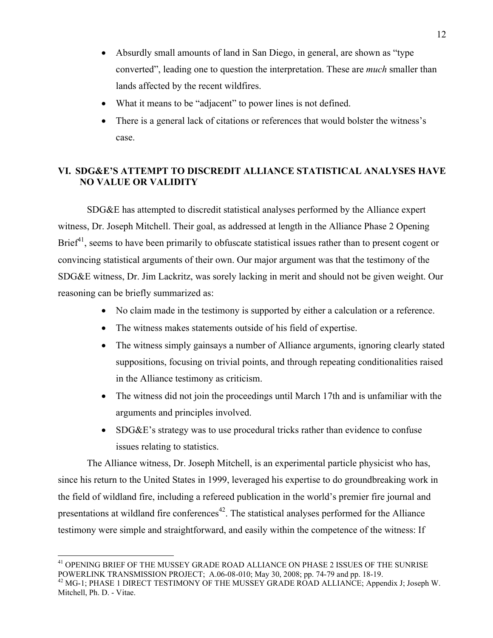- Absurdly small amounts of land in San Diego, in general, are shown as "type converted", leading one to question the interpretation. These are *much* smaller than lands affected by the recent wildfires.
- What it means to be "adjacent" to power lines is not defined.
- There is a general lack of citations or references that would bolster the witness's case.

### **VI. SDG&E'S ATTEMPT TO DISCREDIT ALLIANCE STATISTICAL ANALYSES HAVE NO VALUE OR VALIDITY**

SDG&E has attempted to discredit statistical analyses performed by the Alliance expert witness, Dr. Joseph Mitchell. Their goal, as addressed at length in the Alliance Phase 2 Opening Brief<sup>41</sup>, seems to have been primarily to obfuscate statistical issues rather than to present cogent or convincing statistical arguments of their own. Our major argument was that the testimony of the SDG&E witness, Dr. Jim Lackritz, was sorely lacking in merit and should not be given weight. Our reasoning can be briefly summarized as:

- No claim made in the testimony is supported by either a calculation or a reference.
- The witness makes statements outside of his field of expertise.
- The witness simply gainsays a number of Alliance arguments, ignoring clearly stated suppositions, focusing on trivial points, and through repeating conditionalities raised in the Alliance testimony as criticism.
- The witness did not join the proceedings until March 17th and is unfamiliar with the arguments and principles involved.
- SDG&E's strategy was to use procedural tricks rather than evidence to confuse issues relating to statistics.

The Alliance witness, Dr. Joseph Mitchell, is an experimental particle physicist who has, since his return to the United States in 1999, leveraged his expertise to do groundbreaking work in the field of wildland fire, including a refereed publication in the world's premier fire journal and presentations at wildland fire conferences<sup>42</sup>. The statistical analyses performed for the Alliance testimony were simple and straightforward, and easily within the competence of the witness: If

1

 $^{41}$  OPENING BRIEF OF THE MUSSEY GRADE ROAD ALLIANCE ON PHASE 2 ISSUES OF THE SUNRISE POWERLINK TRANSMISSION PROJECT; A.06-08-010; May 30, 2008; pp. 74-79 and pp. 18-19.

<sup>&</sup>lt;sup>42</sup> MG-1; PHASE 1 DIRECT TESTIMONY OF THE MUSSEY GRADE ROAD ALLIANCE; Appendix J; Joseph W. Mitchell, Ph. D. - Vitae.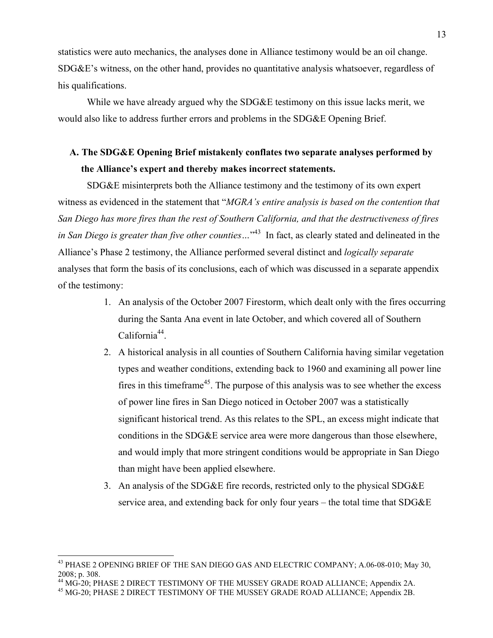statistics were auto mechanics, the analyses done in Alliance testimony would be an oil change. SDG&E's witness, on the other hand, provides no quantitative analysis whatsoever, regardless of his qualifications.

While we have already argued why the SDG&E testimony on this issue lacks merit, we would also like to address further errors and problems in the SDG&E Opening Brief.

### **A. The SDG&E Opening Brief mistakenly conflates two separate analyses performed by the Alliance's expert and thereby makes incorrect statements.**

SDG&E misinterprets both the Alliance testimony and the testimony of its own expert witness as evidenced in the statement that "*MGRA's entire analysis is based on the contention that San Diego has more fires than the rest of Southern California, and that the destructiveness of fires in San Diego is greater than five other counties…*" 43 In fact, as clearly stated and delineated in the Alliance's Phase 2 testimony, the Alliance performed several distinct and *logically separate* analyses that form the basis of its conclusions, each of which was discussed in a separate appendix of the testimony:

- 1. An analysis of the October 2007 Firestorm, which dealt only with the fires occurring during the Santa Ana event in late October, and which covered all of Southern  $California<sup>44</sup>$ .
- 2. A historical analysis in all counties of Southern California having similar vegetation types and weather conditions, extending back to 1960 and examining all power line fires in this timeframe<sup>45</sup>. The purpose of this analysis was to see whether the excess of power line fires in San Diego noticed in October 2007 was a statistically significant historical trend. As this relates to the SPL, an excess might indicate that conditions in the SDG&E service area were more dangerous than those elsewhere, and would imply that more stringent conditions would be appropriate in San Diego than might have been applied elsewhere.
- 3. An analysis of the SDG&E fire records, restricted only to the physical SDG&E service area, and extending back for only four years – the total time that SDG&E

1

<sup>&</sup>lt;sup>43</sup> PHASE 2 OPENING BRIEF OF THE SAN DIEGO GAS AND ELECTRIC COMPANY; A.06-08-010; May 30, 2008; p. 308.

<sup>&</sup>lt;sup>44</sup> MG-20; PHASE 2 DIRECT TESTIMONY OF THE MUSSEY GRADE ROAD ALLIANCE; Appendix 2A.

<sup>45</sup> MG-20; PHASE 2 DIRECT TESTIMONY OF THE MUSSEY GRADE ROAD ALLIANCE; Appendix 2B.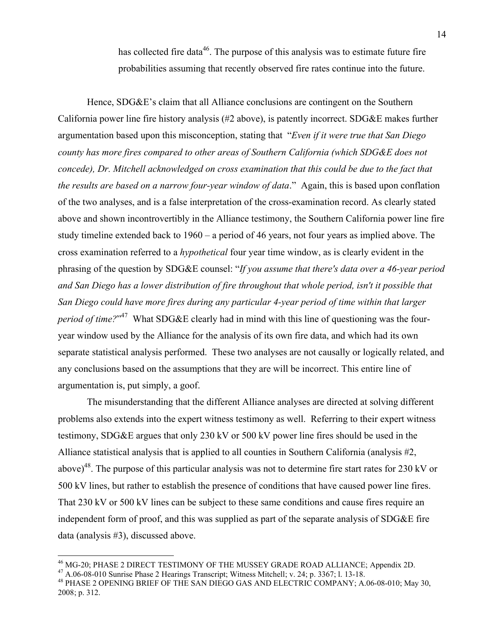has collected fire data<sup>46</sup>. The purpose of this analysis was to estimate future fire probabilities assuming that recently observed fire rates continue into the future.

Hence, SDG&E's claim that all Alliance conclusions are contingent on the Southern California power line fire history analysis (#2 above), is patently incorrect. SDG&E makes further argumentation based upon this misconception, stating that "*Even if it were true that San Diego county has more fires compared to other areas of Southern California (which SDG&E does not concede), Dr. Mitchell acknowledged on cross examination that this could be due to the fact that the results are based on a narrow four-year window of data*." Again, this is based upon conflation of the two analyses, and is a false interpretation of the cross-examination record. As clearly stated above and shown incontrovertibly in the Alliance testimony, the Southern California power line fire study timeline extended back to 1960 – a period of 46 years, not four years as implied above. The cross examination referred to a *hypothetical* four year time window, as is clearly evident in the phrasing of the question by SDG&E counsel: "*If you assume that there's data over a 46-year period and San Diego has a lower distribution of fire throughout that whole period, isn't it possible that San Diego could have more fires during any particular 4-year period of time within that larger period of time?*" 47 What SDG&E clearly had in mind with this line of questioning was the fouryear window used by the Alliance for the analysis of its own fire data, and which had its own separate statistical analysis performed. These two analyses are not causally or logically related, and any conclusions based on the assumptions that they are will be incorrect. This entire line of argumentation is, put simply, a goof.

The misunderstanding that the different Alliance analyses are directed at solving different problems also extends into the expert witness testimony as well. Referring to their expert witness testimony, SDG&E argues that only 230 kV or 500 kV power line fires should be used in the Alliance statistical analysis that is applied to all counties in Southern California (analysis #2, above)<sup>48</sup>. The purpose of this particular analysis was not to determine fire start rates for 230 kV or 500 kV lines, but rather to establish the presence of conditions that have caused power line fires. That 230 kV or 500 kV lines can be subject to these same conditions and cause fires require an independent form of proof, and this was supplied as part of the separate analysis of SDG&E fire data (analysis #3), discussed above.

<sup>&</sup>lt;sup>46</sup> MG-20; PHASE 2 DIRECT TESTIMONY OF THE MUSSEY GRADE ROAD ALLIANCE; Appendix 2D.  $^{47}$  A.06-08-010 Sunrise Phase 2 Hearings Transcript; Witness Mitchell; v. 24; p. 3367; 1. 13-18.

<sup>48</sup> PHASE 2 OPENING BRIEF OF THE SAN DIEGO GAS AND ELECTRIC COMPANY; A.06-08-010; May 30, 2008; p. 312.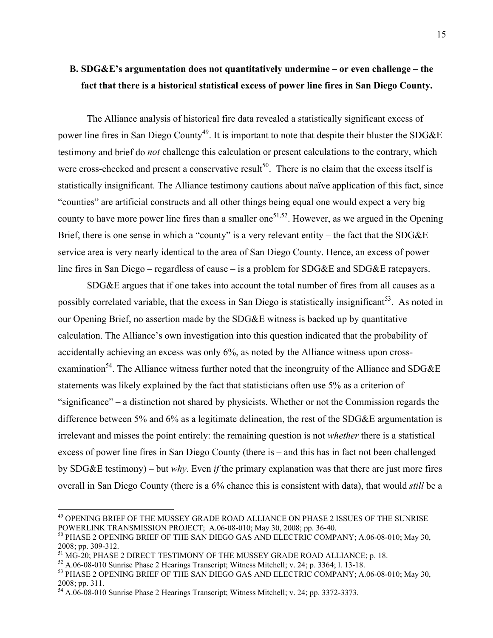### **B. SDG&E's argumentation does not quantitatively undermine – or even challenge – the fact that there is a historical statistical excess of power line fires in San Diego County.**

The Alliance analysis of historical fire data revealed a statistically significant excess of power line fires in San Diego County<sup>49</sup>. It is important to note that despite their bluster the SDG&E testimony and brief do *not* challenge this calculation or present calculations to the contrary, which were cross-checked and present a conservative result<sup>50</sup>. There is no claim that the excess itself is statistically insignificant. The Alliance testimony cautions about naïve application of this fact, since "counties" are artificial constructs and all other things being equal one would expect a very big county to have more power line fires than a smaller one<sup>51,52</sup>. However, as we argued in the Opening Brief, there is one sense in which a "county" is a very relevant entity – the fact that the SDG&E service area is very nearly identical to the area of San Diego County. Hence, an excess of power line fires in San Diego – regardless of cause – is a problem for SDG&E and SDG&E ratepayers.

SDG&E argues that if one takes into account the total number of fires from all causes as a possibly correlated variable, that the excess in San Diego is statistically insignificant<sup>53</sup>. As noted in our Opening Brief, no assertion made by the SDG&E witness is backed up by quantitative calculation. The Alliance's own investigation into this question indicated that the probability of accidentally achieving an excess was only 6%, as noted by the Alliance witness upon crossexamination<sup>54</sup>. The Alliance witness further noted that the incongruity of the Alliance and SDG&E statements was likely explained by the fact that statisticians often use 5% as a criterion of "significance" – a distinction not shared by physicists. Whether or not the Commission regards the difference between 5% and 6% as a legitimate delineation, the rest of the SDG&E argumentation is irrelevant and misses the point entirely: the remaining question is not *whether* there is a statistical excess of power line fires in San Diego County (there is – and this has in fact not been challenged by SDG&E testimony) – but *why*. Even *if* the primary explanation was that there are just more fires overall in San Diego County (there is a 6% chance this is consistent with data), that would *still* be a

<sup>49</sup> OPENING BRIEF OF THE MUSSEY GRADE ROAD ALLIANCE ON PHASE 2 ISSUES OF THE SUNRISE POWERLINK TRANSMISSION PROJECT; A.06-08-010; May 30, 2008; pp. 36-40.

<sup>50</sup> PHASE 2 OPENING BRIEF OF THE SAN DIEGO GAS AND ELECTRIC COMPANY; A.06-08-010; May 30, 2008; pp. 309-312.

 $^{51}$  MG-20; PHASE 2 DIRECT TESTIMONY OF THE MUSSEY GRADE ROAD ALLIANCE; p. 18.<br> $^{52}$  A.06-08-010 Sunrise Phase 2 Hearings Transcript; Witness Mitchell; v. 24; p. 3364; l. 13-18.

<sup>&</sup>lt;sup>53</sup> PHASE 2 OPENING BRIEF OF THE SAN DIEGO GAS AND ELECTRIC COMPANY; A.06-08-010; May 30, 2008; pp. 311.

<sup>54</sup> A.06-08-010 Sunrise Phase 2 Hearings Transcript; Witness Mitchell; v. 24; pp. 3372-3373.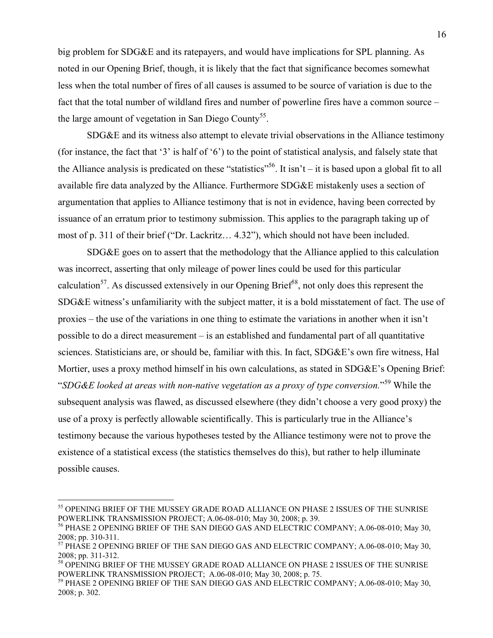big problem for SDG&E and its ratepayers, and would have implications for SPL planning. As noted in our Opening Brief, though, it is likely that the fact that significance becomes somewhat less when the total number of fires of all causes is assumed to be source of variation is due to the fact that the total number of wildland fires and number of powerline fires have a common source – the large amount of vegetation in San Diego County<sup>55</sup>.

SDG&E and its witness also attempt to elevate trivial observations in the Alliance testimony (for instance, the fact that '3' is half of '6') to the point of statistical analysis, and falsely state that the Alliance analysis is predicated on these "statistics"<sup>56</sup>. It isn't – it is based upon a global fit to all available fire data analyzed by the Alliance. Furthermore SDG&E mistakenly uses a section of argumentation that applies to Alliance testimony that is not in evidence, having been corrected by issuance of an erratum prior to testimony submission. This applies to the paragraph taking up of most of p. 311 of their brief ("Dr. Lackritz… 4.32"), which should not have been included.

SDG&E goes on to assert that the methodology that the Alliance applied to this calculation was incorrect, asserting that only mileage of power lines could be used for this particular calculation<sup>57</sup>. As discussed extensively in our Opening Brief<sup>58</sup>, not only does this represent the SDG&E witness's unfamiliarity with the subject matter, it is a bold misstatement of fact. The use of proxies – the use of the variations in one thing to estimate the variations in another when it isn't possible to do a direct measurement – is an established and fundamental part of all quantitative sciences. Statisticians are, or should be, familiar with this. In fact, SDG&E's own fire witness, Hal Mortier, uses a proxy method himself in his own calculations, as stated in SDG&E's Opening Brief: "*SDG&E looked at areas with non-native vegetation as a proxy of type conversion.*" 59 While the subsequent analysis was flawed, as discussed elsewhere (they didn't choose a very good proxy) the use of a proxy is perfectly allowable scientifically. This is particularly true in the Alliance's testimony because the various hypotheses tested by the Alliance testimony were not to prove the existence of a statistical excess (the statistics themselves do this), but rather to help illuminate possible causes.

<sup>55</sup> OPENING BRIEF OF THE MUSSEY GRADE ROAD ALLIANCE ON PHASE 2 ISSUES OF THE SUNRISE POWERLINK TRANSMISSION PROJECT; A.06-08-010; May 30, 2008; p. 39.

<sup>56</sup> PHASE 2 OPENING BRIEF OF THE SAN DIEGO GAS AND ELECTRIC COMPANY; A.06-08-010; May 30, 2008; pp. 310-311.

<sup>&</sup>lt;sup>57</sup> PHASE 2 OPENING BRIEF OF THE SAN DIEGO GAS AND ELECTRIC COMPANY; A.06-08-010; May 30, 2008; pp. 311-312.

<sup>58</sup> OPENING BRIEF OF THE MUSSEY GRADE ROAD ALLIANCE ON PHASE 2 ISSUES OF THE SUNRISE POWERLINK TRANSMISSION PROJECT; A.06-08-010; May 30, 2008; p. 75.

<sup>59</sup> PHASE 2 OPENING BRIEF OF THE SAN DIEGO GAS AND ELECTRIC COMPANY; A.06-08-010; May 30, 2008; p. 302.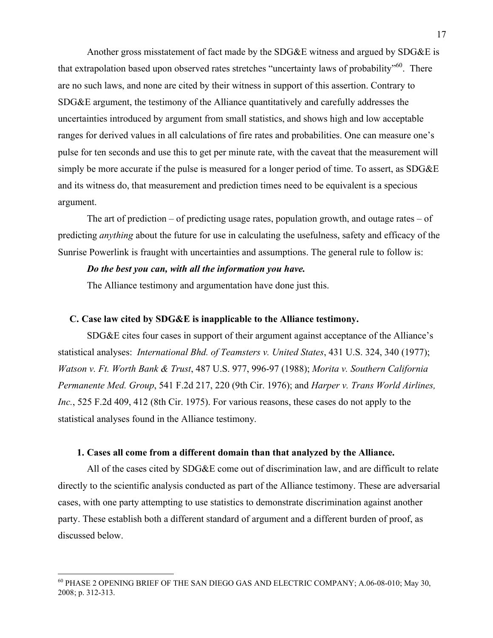Another gross misstatement of fact made by the SDG&E witness and argued by SDG&E is that extrapolation based upon observed rates stretches "uncertainty laws of probability"<sup>60</sup>. There are no such laws, and none are cited by their witness in support of this assertion. Contrary to SDG&E argument, the testimony of the Alliance quantitatively and carefully addresses the uncertainties introduced by argument from small statistics, and shows high and low acceptable ranges for derived values in all calculations of fire rates and probabilities. One can measure one's pulse for ten seconds and use this to get per minute rate, with the caveat that the measurement will simply be more accurate if the pulse is measured for a longer period of time. To assert, as SDG&E and its witness do, that measurement and prediction times need to be equivalent is a specious argument.

The art of prediction – of predicting usage rates, population growth, and outage rates – of predicting *anything* about the future for use in calculating the usefulness, safety and efficacy of the Sunrise Powerlink is fraught with uncertainties and assumptions. The general rule to follow is:

#### *Do the best you can, with all the information you have.*

The Alliance testimony and argumentation have done just this.

#### **C. Case law cited by SDG&E is inapplicable to the Alliance testimony.**

SDG&E cites four cases in support of their argument against acceptance of the Alliance's statistical analyses: *International Bhd. of Teamsters v. United States*, 431 U.S. 324, 340 (1977); *Watson v. Ft. Worth Bank & Trust*, 487 U.S. 977, 996-97 (1988); *Morita v. Southern California Permanente Med. Group*, 541 F.2d 217, 220 (9th Cir. 1976); and *Harper v. Trans World Airlines, Inc.*, 525 F.2d 409, 412 (8th Cir. 1975). For various reasons, these cases do not apply to the statistical analyses found in the Alliance testimony.

#### **1. Cases all come from a different domain than that analyzed by the Alliance.**

All of the cases cited by SDG&E come out of discrimination law, and are difficult to relate directly to the scientific analysis conducted as part of the Alliance testimony. These are adversarial cases, with one party attempting to use statistics to demonstrate discrimination against another party. These establish both a different standard of argument and a different burden of proof, as discussed below.

<sup>60</sup> PHASE 2 OPENING BRIEF OF THE SAN DIEGO GAS AND ELECTRIC COMPANY; A.06-08-010; May 30, 2008; p. 312-313.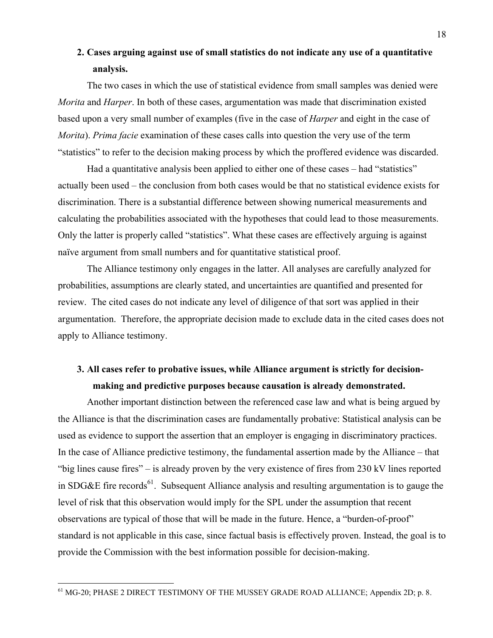### **2. Cases arguing against use of small statistics do not indicate any use of a quantitative analysis.**

The two cases in which the use of statistical evidence from small samples was denied were *Morita* and *Harper*. In both of these cases, argumentation was made that discrimination existed based upon a very small number of examples (five in the case of *Harper* and eight in the case of *Morita*). *Prima facie* examination of these cases calls into question the very use of the term "statistics" to refer to the decision making process by which the proffered evidence was discarded.

Had a quantitative analysis been applied to either one of these cases – had "statistics" actually been used – the conclusion from both cases would be that no statistical evidence exists for discrimination. There is a substantial difference between showing numerical measurements and calculating the probabilities associated with the hypotheses that could lead to those measurements. Only the latter is properly called "statistics". What these cases are effectively arguing is against naïve argument from small numbers and for quantitative statistical proof.

The Alliance testimony only engages in the latter. All analyses are carefully analyzed for probabilities, assumptions are clearly stated, and uncertainties are quantified and presented for review. The cited cases do not indicate any level of diligence of that sort was applied in their argumentation. Therefore, the appropriate decision made to exclude data in the cited cases does not apply to Alliance testimony.

### **3. All cases refer to probative issues, while Alliance argument is strictly for decisionmaking and predictive purposes because causation is already demonstrated.**

Another important distinction between the referenced case law and what is being argued by the Alliance is that the discrimination cases are fundamentally probative: Statistical analysis can be used as evidence to support the assertion that an employer is engaging in discriminatory practices. In the case of Alliance predictive testimony, the fundamental assertion made by the Alliance – that "big lines cause fires" – is already proven by the very existence of fires from 230 kV lines reported in SDG&E fire records<sup>61</sup>. Subsequent Alliance analysis and resulting argumentation is to gauge the level of risk that this observation would imply for the SPL under the assumption that recent observations are typical of those that will be made in the future. Hence, a "burden-of-proof" standard is not applicable in this case, since factual basis is effectively proven. Instead, the goal is to provide the Commission with the best information possible for decision-making.

<sup>&</sup>lt;sup>61</sup> MG-20; PHASE 2 DIRECT TESTIMONY OF THE MUSSEY GRADE ROAD ALLIANCE; Appendix 2D; p. 8.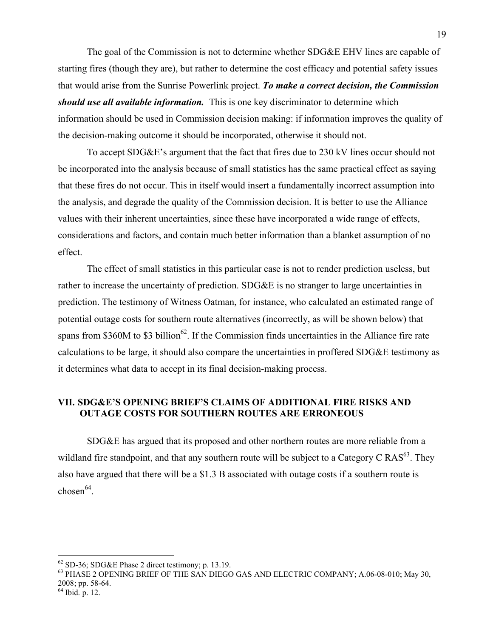The goal of the Commission is not to determine whether SDG&E EHV lines are capable of starting fires (though they are), but rather to determine the cost efficacy and potential safety issues that would arise from the Sunrise Powerlink project. *To make a correct decision, the Commission should use all available information.* This is one key discriminator to determine which information should be used in Commission decision making: if information improves the quality of the decision-making outcome it should be incorporated, otherwise it should not.

To accept SDG&E's argument that the fact that fires due to 230 kV lines occur should not be incorporated into the analysis because of small statistics has the same practical effect as saying that these fires do not occur. This in itself would insert a fundamentally incorrect assumption into the analysis, and degrade the quality of the Commission decision. It is better to use the Alliance values with their inherent uncertainties, since these have incorporated a wide range of effects, considerations and factors, and contain much better information than a blanket assumption of no effect.

The effect of small statistics in this particular case is not to render prediction useless, but rather to increase the uncertainty of prediction. SDG&E is no stranger to large uncertainties in prediction. The testimony of Witness Oatman, for instance, who calculated an estimated range of potential outage costs for southern route alternatives (incorrectly, as will be shown below) that spans from \$360M to \$3 billion<sup>62</sup>. If the Commission finds uncertainties in the Alliance fire rate calculations to be large, it should also compare the uncertainties in proffered SDG&E testimony as it determines what data to accept in its final decision-making process.

#### **VII. SDG&E'S OPENING BRIEF'S CLAIMS OF ADDITIONAL FIRE RISKS AND OUTAGE COSTS FOR SOUTHERN ROUTES ARE ERRONEOUS**

SDG&E has argued that its proposed and other northern routes are more reliable from a wildland fire standpoint, and that any southern route will be subject to a Category C  $RAS<sup>63</sup>$ . They also have argued that there will be a \$1.3 B associated with outage costs if a southern route is chosen $^{64}$ .

64 Ibid. p. 12.

 $^{62}$  SD-36; SDG&E Phase 2 direct testimony; p. 13.19.<br> $^{63}$  PHASE 2 OPENING BRIEF OF THE SAN DIEGO GAS AND ELECTRIC COMPANY; A.06-08-010; May 30, 2008; pp. 58-64.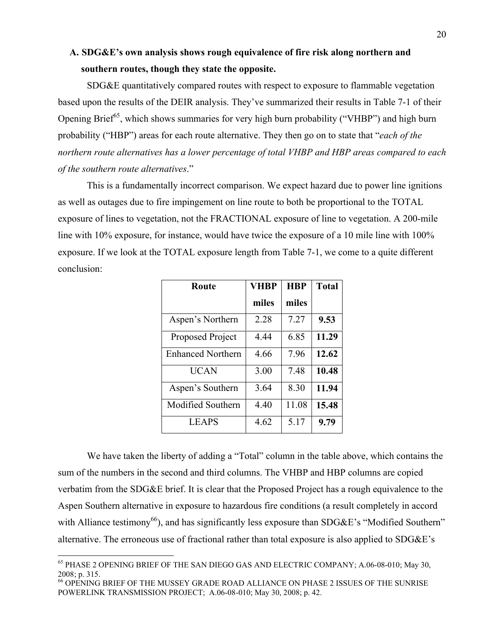### **A. SDG&E's own analysis shows rough equivalence of fire risk along northern and southern routes, though they state the opposite.**

SDG&E quantitatively compared routes with respect to exposure to flammable vegetation based upon the results of the DEIR analysis. They've summarized their results in Table 7-1 of their Opening Brief<sup>65</sup>, which shows summaries for very high burn probability ("VHBP") and high burn probability ("HBP") areas for each route alternative. They then go on to state that "*each of the northern route alternatives has a lower percentage of total VHBP and HBP areas compared to each of the southern route alternatives*."

This is a fundamentally incorrect comparison. We expect hazard due to power line ignitions as well as outages due to fire impingement on line route to both be proportional to the TOTAL exposure of lines to vegetation, not the FRACTIONAL exposure of line to vegetation. A 200-mile line with 10% exposure, for instance, would have twice the exposure of a 10 mile line with 100% exposure. If we look at the TOTAL exposure length from Table 7-1, we come to a quite different conclusion:

| Route                    | <b>VHBP</b> | <b>HBP</b> | <b>Total</b> |
|--------------------------|-------------|------------|--------------|
|                          | miles       | miles      |              |
| Aspen's Northern         | 2.28        | 7.27       | 9.53         |
| Proposed Project         | 4.44        | 6.85       | 11.29        |
| <b>Enhanced Northern</b> | 4.66        | 7.96       | 12.62        |
| <b>UCAN</b>              | 3.00        | 7.48       | 10.48        |
| Aspen's Southern         | 3.64        | 8.30       | 11.94        |
| Modified Southern        | 4.40        | 11.08      | 15.48        |
| <b>LEAPS</b>             | 4.62        | 5.17       | 9.79         |

We have taken the liberty of adding a "Total" column in the table above, which contains the sum of the numbers in the second and third columns. The VHBP and HBP columns are copied verbatim from the SDG&E brief. It is clear that the Proposed Project has a rough equivalence to the Aspen Southern alternative in exposure to hazardous fire conditions (a result completely in accord with Alliance testimony<sup>66</sup>), and has significantly less exposure than  $SDG&E$ 's "Modified Southern" alternative. The erroneous use of fractional rather than total exposure is also applied to SDG&E's

<sup>65</sup> PHASE 2 OPENING BRIEF OF THE SAN DIEGO GAS AND ELECTRIC COMPANY; A.06-08-010; May 30, 2008; p. 315.

<sup>66</sup> OPENING BRIEF OF THE MUSSEY GRADE ROAD ALLIANCE ON PHASE 2 ISSUES OF THE SUNRISE POWERLINK TRANSMISSION PROJECT; A.06-08-010; May 30, 2008; p. 42.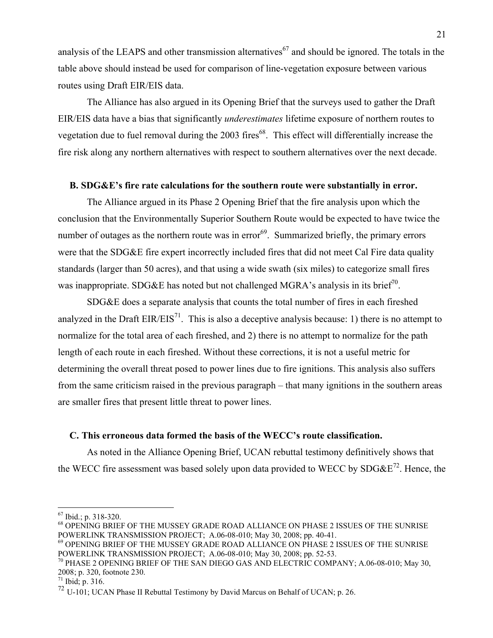analysis of the LEAPS and other transmission alternatives<sup>67</sup> and should be ignored. The totals in the table above should instead be used for comparison of line-vegetation exposure between various routes using Draft EIR/EIS data.

The Alliance has also argued in its Opening Brief that the surveys used to gather the Draft EIR/EIS data have a bias that significantly *underestimates* lifetime exposure of northern routes to vegetation due to fuel removal during the 2003 fires<sup>68</sup>. This effect will differentially increase the fire risk along any northern alternatives with respect to southern alternatives over the next decade.

#### **B. SDG&E's fire rate calculations for the southern route were substantially in error.**

The Alliance argued in its Phase 2 Opening Brief that the fire analysis upon which the conclusion that the Environmentally Superior Southern Route would be expected to have twice the number of outages as the northern route was in error<sup>69</sup>. Summarized briefly, the primary errors were that the SDG&E fire expert incorrectly included fires that did not meet Cal Fire data quality standards (larger than 50 acres), and that using a wide swath (six miles) to categorize small fires was inappropriate. SDG&E has noted but not challenged MGRA's analysis in its brief<sup>70</sup>.

SDG&E does a separate analysis that counts the total number of fires in each fireshed analyzed in the Draft  $EIR/EIS<sup>71</sup>$ . This is also a deceptive analysis because: 1) there is no attempt to normalize for the total area of each fireshed, and 2) there is no attempt to normalize for the path length of each route in each fireshed. Without these corrections, it is not a useful metric for determining the overall threat posed to power lines due to fire ignitions. This analysis also suffers from the same criticism raised in the previous paragraph – that many ignitions in the southern areas are smaller fires that present little threat to power lines.

#### **C. This erroneous data formed the basis of the WECC's route classification.**

As noted in the Alliance Opening Brief, UCAN rebuttal testimony definitively shows that the WECC fire assessment was based solely upon data provided to WECC by  $SDG\&E^{72}$ . Hence, the

<sup>67</sup> Ibid.; p. 318-320.

 $^{68}$  OPENING BRIEF OF THE MUSSEY GRADE ROAD ALLIANCE ON PHASE 2 ISSUES OF THE SUNRISE POWERLINK TRANSMISSION PROJECT; A.06-08-010; May 30, 2008; pp. 40-41.

<sup>69</sup> OPENING BRIEF OF THE MUSSEY GRADE ROAD ALLIANCE ON PHASE 2 ISSUES OF THE SUNRISE POWERLINK TRANSMISSION PROJECT; A.06-08-010; May 30, 2008; pp. 52-53.

<sup>70</sup> PHASE 2 OPENING BRIEF OF THE SAN DIEGO GAS AND ELECTRIC COMPANY; A.06-08-010; May 30, 2008; p. 320, footnote 230.

 $^{71}$  Ibid; p. 316.

<sup>72</sup> U-101; UCAN Phase II Rebuttal Testimony by David Marcus on Behalf of UCAN; p. 26.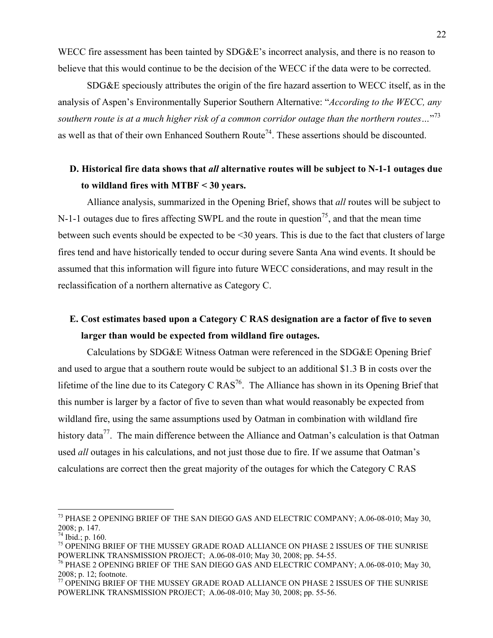WECC fire assessment has been tainted by SDG&E's incorrect analysis, and there is no reason to believe that this would continue to be the decision of the WECC if the data were to be corrected.

SDG&E speciously attributes the origin of the fire hazard assertion to WECC itself, as in the analysis of Aspen's Environmentally Superior Southern Alternative: "*According to the WECC, any southern route is at a much higher risk of a common corridor outage than the northern routes…*" 73 as well as that of their own Enhanced Southern Route<sup>74</sup>. These assertions should be discounted.

### **D. Historical fire data shows that** *all* **alternative routes will be subject to N-1-1 outages due to wildland fires with MTBF < 30 years.**

Alliance analysis, summarized in the Opening Brief, shows that *all* routes will be subject to N-1-1 outages due to fires affecting SWPL and the route in question<sup>75</sup>, and that the mean time between such events should be expected to be <30 years. This is due to the fact that clusters of large fires tend and have historically tended to occur during severe Santa Ana wind events. It should be assumed that this information will figure into future WECC considerations, and may result in the reclassification of a northern alternative as Category C.

## **E. Cost estimates based upon a Category C RAS designation are a factor of five to seven larger than would be expected from wildland fire outages.**

Calculations by SDG&E Witness Oatman were referenced in the SDG&E Opening Brief and used to argue that a southern route would be subject to an additional \$1.3 B in costs over the lifetime of the line due to its Category C  $RAS^{76}$ . The Alliance has shown in its Opening Brief that this number is larger by a factor of five to seven than what would reasonably be expected from wildland fire, using the same assumptions used by Oatman in combination with wildland fire history data<sup>77</sup>. The main difference between the Alliance and Oatman's calculation is that Oatman used *all* outages in his calculations, and not just those due to fire. If we assume that Oatman's calculations are correct then the great majority of the outages for which the Category C RAS

<sup>&</sup>lt;sup>73</sup> PHASE 2 OPENING BRIEF OF THE SAN DIEGO GAS AND ELECTRIC COMPANY; A.06-08-010; May 30, 2008; p. 147.

 $74$  Ibid.; p. 160.

<sup>&</sup>lt;sup>75</sup> OPENING BRIEF OF THE MUSSEY GRADE ROAD ALLIANCE ON PHASE 2 ISSUES OF THE SUNRISE POWERLINK TRANSMISSION PROJECT; A.06-08-010; May 30, 2008; pp. 54-55.

<sup>76</sup> PHASE 2 OPENING BRIEF OF THE SAN DIEGO GAS AND ELECTRIC COMPANY; A.06-08-010; May 30, 2008; p. 12; footnote.

 $^{77}$  OPENING BRIEF OF THE MUSSEY GRADE ROAD ALLIANCE ON PHASE 2 ISSUES OF THE SUNRISE POWERLINK TRANSMISSION PROJECT; A.06-08-010; May 30, 2008; pp. 55-56.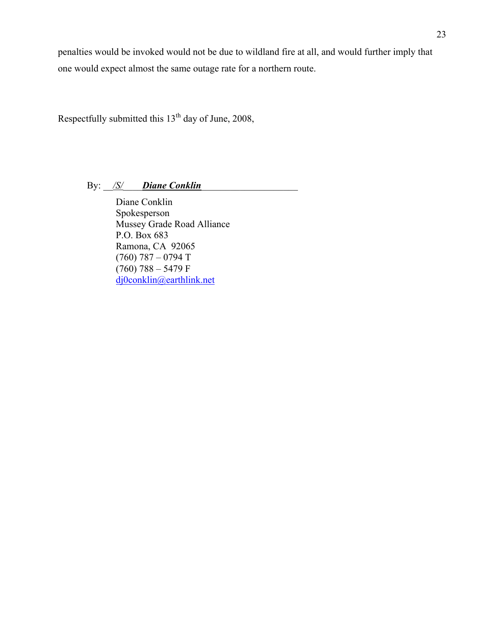penalties would be invoked would not be due to wildland fire at all, and would further imply that one would expect almost the same outage rate for a northern route.

Respectfully submitted this 13<sup>th</sup> day of June, 2008,

By: <u>/S/</u> Diane Conklin

Diane Conklin Spokesperson Mussey Grade Road Alliance P.O. Box 683 Ramona, CA 92065 (760) 787 – 0794 T  $(760)$  788 – 5479 F dj0conklin@earthlink.net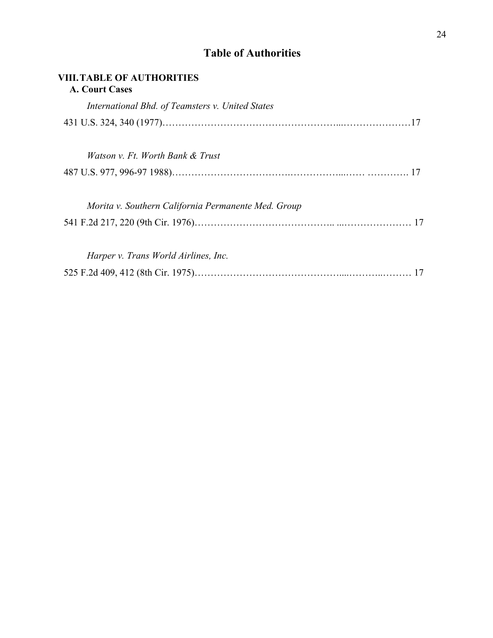## **Table of Authorities**

| <b>VIII. TABLE OF AUTHORITIES</b><br><b>A. Court Cases</b> |  |
|------------------------------------------------------------|--|
| International Bhd. of Teamsters v. United States           |  |
|                                                            |  |
| Watson v. Ft. Worth Bank & Trust                           |  |
|                                                            |  |
| Morita v. Southern California Permanente Med. Group        |  |
|                                                            |  |
| Harper v. Trans World Airlines, Inc.                       |  |
|                                                            |  |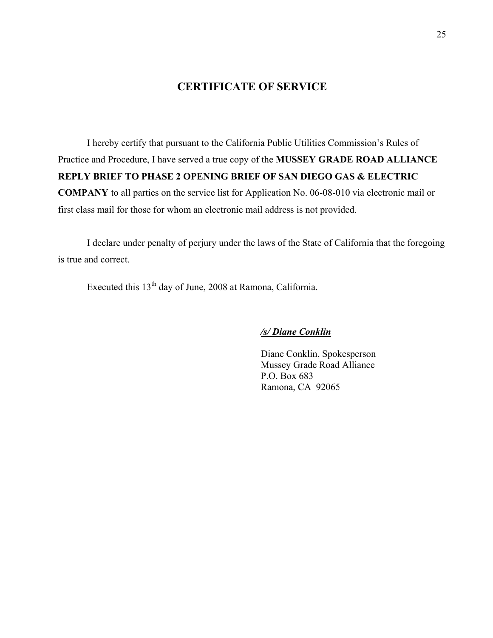### **CERTIFICATE OF SERVICE**

I hereby certify that pursuant to the California Public Utilities Commission's Rules of Practice and Procedure, I have served a true copy of the **MUSSEY GRADE ROAD ALLIANCE REPLY BRIEF TO PHASE 2 OPENING BRIEF OF SAN DIEGO GAS & ELECTRIC COMPANY** to all parties on the service list for Application No. 06-08-010 via electronic mail or first class mail for those for whom an electronic mail address is not provided.

I declare under penalty of perjury under the laws of the State of California that the foregoing is true and correct.

Executed this 13th day of June, 2008 at Ramona, California.

*/s/ Diane Conklin*

Diane Conklin, Spokesperson Mussey Grade Road Alliance P.O. Box 683 Ramona, CA 92065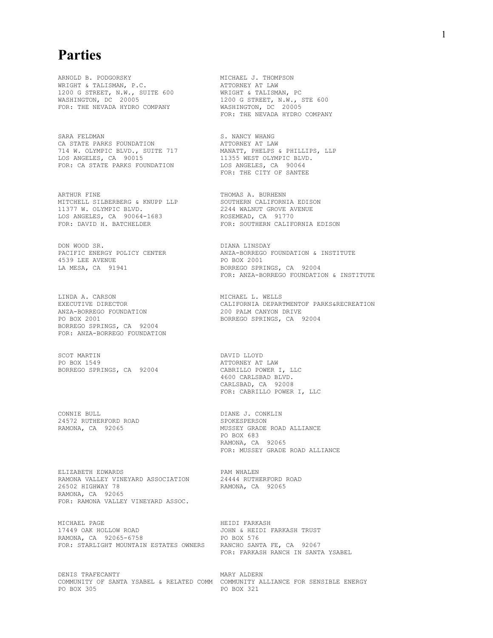# **Parties**

ARNOLD B. PODGORSKY MICHAEL J. THOMPSON WRIGHT & TALISMAN, P.C. ATTORNEY AT LAW 1200 G STREET, N.W., SUITE 600 WRIGHT & TALISMAN, PC WASHINGTON, DC 20005 1200 G STREET, N.W., STE 600 FOR: THE NEVADA HYDRO COMPANY WASHINGTON, DC 20005

SARA FELDMAN S. NANCY WHANG CA STATE PARKS FOUNDATION **EXECUTE:** ATTORNEY AT LAW 714 W. OLYMPIC BLVD., SUITE 717 MANATT, PHELPS & PHILLIPS, LLP LOS ANGELES, CA 90015 11355 WEST OLYMPIC BLVD. FOR: CA STATE PARKS FOUNDATION LOS ANGELES, CA 90064

ARTHUR FINE THOMAS A. BURHENN MITCHELL SILBERBERG & KNUPP LLP SOUTHERN CALIFORNIA EDISON 11377 W. OLYMPIC BLVD. 2244 WALNUT GROVE AVENUE LOS ANGELES, CA 90064-1683 ROSEMEAD, CA 91770

DON WOOD SR. DIANA LINSDAY 4539 LEE AVENUE<br>LA MESA, CA 91941

LINDA A. CARSON MICHAEL L. WELLS EXECUTIVE DIRECTOR<br>ANZA-BORREGO FOUNDATION<br>PO BOX 2001 BORREGO SPRINGS, CA 92004 FOR: ANZA-BORREGO FOUNDATION

SCOT MARTIN DAVID LLOYD<br>
DAVID LLOYD<br>
DAVID DO ROX 1549

CONNIE BULL DIANE J. CONKLIN 24572 RUTHERFORD ROAD<br>RAMONA, CA 92065

ELIZABETH EDWARDS PAM WHALEN RAMONA VALLEY VINEYARD ASSOCIATION 26502 HIGHWAY 78 RAMONA, CA 92065 FOR: RAMONA VALLEY VINEYARD ASSOC.

MICHAEL PAGE HEIDI FARKASH RAMONA, CA 92065-6758 FOR: STARLIGHT MOUNTAIN ESTATES OWNERS RANCHO SANTA FE, CA 92067

DENIS TRAFECANTY **MARY ALDERN** COMMUNITY OF SANTA YSABEL & RELATED COMM COMMUNITY ALLIANCE FOR SENSIBLE ENERGY<br>PO BOX 305

FOR: THE NEVADA HYDRO COMPANY

FOR: THE CITY OF SANTEE

FOR: DAVID H. BATCHELDER FOR: SOUTHERN CALIFORNIA EDISON

ANZA-BORREGO FOUNDATION & INSTITUTE<br>PO BOX 2001 BORREGO SPRINGS, CA 92004 FOR: ANZA-BORREGO FOUNDATION & INSTITUTE

CALIFORNIA DEPARTMENTOF PARKS&RECREATION<br>200 PALM CANYON DRIVE BORREGO SPRINGS, CA 92004

ATTORNEY AT LAW BORREGO SPRINGS, CA 92004 CABRILLO POWER I, LLC 4600 CARLSBAD BLVD. CARLSBAD, CA 92008 FOR: CABRILLO POWER I, LLC

> MUSSEY GRADE ROAD ALLIANCE PO BOX 683 RAMONA, CA 92065 FOR: MUSSEY GRADE ROAD ALLIANCE

RAMONA, CA 92065

JOHN & HEIDI FARKASH TRUST<br>PO BOX 576 FOR: FARKASH RANCH IN SANTA YSABEL

PO BOX 321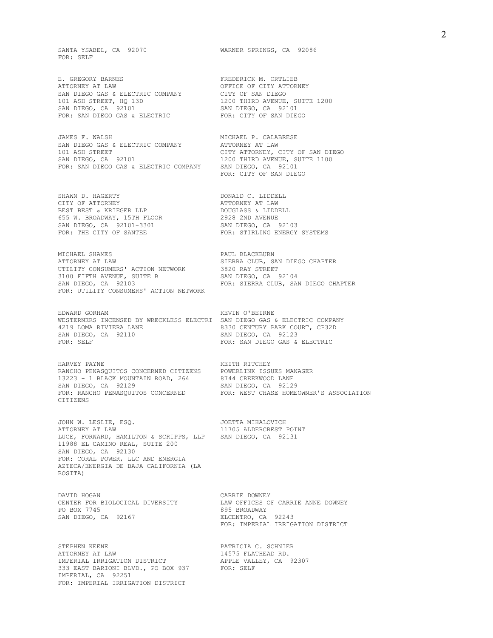SANTA YSABEL, CA 92070 WARNER SPRINGS, CA 92086 FOR: SELF

ATTORNEY AT LAW OFFICE OF CITY ATTORNEY SAN DIEGO GAS & ELECTRIC COMPANY CITY OF SAN DIEGO<br>101 ASH STREET, HQ 13D 1200 THIRD AVENUE, SUITE 1200 101 ASH STREET, HQ 13D SAN DIEGO, CA 92101 SAN DIEGO, CA 92101 FOR: SAN DIEGO GAS & ELECTRIC FOR: CITY OF SAN DIEGO FOR: SAN DIEGO GAS & ELECTRIC

JAMES F. WALSH GALABRESE SAN DIEGO GAS & ELECTRIC COMPANY ATTORNEY AT LAW SAN DIEGO GAS & ELECTRIC COMPANY ATTORNEY AT LAW 101 ASH STREET COMPANY CITY ATTORNEY, CITY OF SAN DIEGO 101 ASH SIKEET<br>SAN DIEGO, CA 92101 SAN DIEGO, CA 92101 1200 THIRD AVENUE, SUITE 1100 FOR: SAN DIEGO GAS & ELECTRIC COMPANY SAN DIEGO, CA 92101

SHAWN D. HAGERTY DONALD C. LIDDELL CITY OF ATTORNEY ATTORNEY AT LAW BEST BEST & KRIEGER LLP DOUGLASS & LIDDELL 655 W. BROADWAY, 15TH FLOOR 2928 2ND AVENUE SAN DIEGO, CA 92101-3301<br>FOR: THE CITY OF SANTEE

MICHAEL SHAMES PAUL BLACKBURN UTILITY CONSUMERS' ACTION NETWORK 3820 RAY STREET<br>3100 FIFTH AVENUE, SUITE B 383 SAN DIEGO, CA 92104 3100 FIFTH AVENUE, SUITE B SAN DIEGO, CA 92104 FOR: UTILITY CONSUMERS' ACTION NETWORK

EDWARD GORHAM KEVIN O'BEIRNE WESTERNERS INCENSED BY WRECKLESS ELECTRI SAN DIEGO GAS & ELECTRIC COMPANY 4219 LOMA RIVIERA LANE 8330 CENTURY PARK COURT, CP32D 4219 LOMA RIVIERA LANE 6330 CENTURY PARK COURT AND REGOVER AND TEGOVER A SAN DIEGOVER A 192123 SAN DIEGO, CA 92110 FOR: SELF FOR: SAN DIEGO GAS & ELECTRIC

HARVEY PAYNE **EXECUTE SERVIT ASSESSED AT A REAL PROPERTY** RANCHO PENASQUITOS CONCERNED CITIZENS POWERLINK ISSUES MANAGER 13223 - 1 BLACK MOUNTAIN ROAD, 264 8744 CREEKWOOD LANE SAN DIEGO, CA 92129 SAN DIEGO, CA 92129 CITIZENS

JOHN W. LESLIE, ESQ. JOETTA MIHALOVICH LUCE, FORWARD, HAMILTON & SCRIPPS, LLP SAN DIEGO, CA 92131 11988 EL CAMINO REAL, SUITE 200 SAN DIEGO, CA 92130 FOR: CORAL POWER, LLC AND ENERGIA AZTECA/ENERGIA DE BAJA CALIFORNIA (LA ROSITA)

CENTER FOR BIOLOGICAL DIVERSITY<br>PO BOX 7745 PO BOX 7745<br>
SAN DIEGO, CA 92167<br>
ELCENTRO, CA

STEPHEN KEENE PATRICIA C. SCHNIER ATTORNEY AT LAW PATRICIA C. SCHNIER ATTORNEY AT LAW 14575 FLATHEAD RD. IMPERIAL IRRIGATION DISTRICT **APPLE VALLEY, CA** 92307 333 EAST BARIONI BLVD., PO BOX 937 FOR: SELF IMPERIAL, CA 92251 FOR: IMPERIAL IRRIGATION DISTRICT

E. GREGORY BARNES FREDERICK M. ORTLIEB

FOR: CITY OF SAN DIEGO

FOR: STIRLING ENERGY SYSTEMS

SIERRA CLUB, SAN DIEGO CHAPTER<br>3820 RAY STREET FOR: SIERRA CLUB, SAN DIEGO CHAPTER

FOR: RANCHO PENASQUITOS CONCERNED FOR: WEST CHASE HOMEOWNER'S ASSOCIATION

11705 ALDERCREST POINT

DAVID HOGAN<br>CENTER FOR BIOLOGICAL DIVERSITY THAN OFFICES OF CARRIE ANNE DOWNEY ELCENTRO, CA 92243 FOR: IMPERIAL IRRIGATION DISTRICT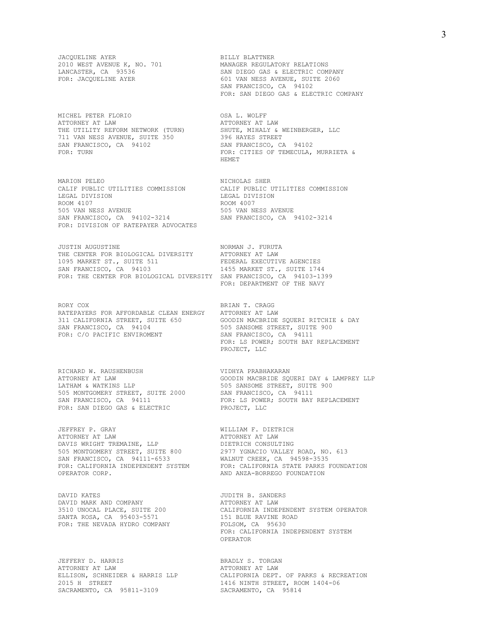$2010$  WEST AVENUE K, NO. 701

MICHEL PETER FLORIO OSA L. WOLFF ATTORNEY AT LAW ATTORNEY AT LAW 711 VAN NESS AVENUE, SUITE 350 396 HAYES STREET SAN FRANCISCO, CA 94102

CALIF PUBLIC UTILITIES COMMISSION<br>LEGAL DIVISION ROOM 4107 ROOM 4007 505 VAN NESS AVENUE 505 VAN NESS AVENUE SAN FRANCISCO, CA 94102-3214 FOR: DIVISION OF RATEPAYER ADVOCATES

JUSTIN AUGUSTINE NORMAN J. FURUTA THE CENTER FOR BIOLOGICAL DIVERSITY ATTORNEY AT LAW 1095 MARKET ST., SUITE 511 FEDERAL EXECUTIVE AGENCIES<br>
SAN FRANCISCO, CA 94103 1455 MARKET ST., SUITE 1744 FOR: THE CENTER FOR BIOLOGICAL DIVERSITY SAN FRANCISCO, CA 94103-1399

RORY COX BRIAN T. CRAGG RATEPAYERS FOR AFFORDABLE CLEAN ENERGY ATTORNEY AT LAW 311 CALIFORNIA STREET, SUITE 650 GOODIN MACBRIDE SQUERI RITCHIE & DAY<br>SAN FRANCISCO, CA 94104 505 SANSOME STREET, SUITE 900 SAN FRANCISCO, CA 94104<br>
FOR: C/O PACIFIC ENVIROMENT
SAN FRANCISCO, CA 94111

RICHARD W. RAUSHENBUSH VIDHYA PRABHAKARAN LATHAM & WATKINS LLP 600 SANSOME STREET, SUITE 900 505 MONTGOMERY STREET, SUITE 2000 SAN FRANCISCO, CA 94111<br>SAN FRANCISCO, CA 94111 SAY FOR: LS POWER, SOUTH BAY FOR: SAN DIEGO GAS & ELECTRIC PROJECT, LLC

JEFFREY P. GRAY **WILLIAM F. DIETRICH**<br>ATTORNEY AT LAW **WILLIAM ATTORNEY AT LAW** ATTORNEY AT LAW ATTORNEY AT LAW DAVIS WRIGHT TREMAINE, LLP DIETRICH CONSULTING 505 MONTGOMERY STREET, SUITE 800 2977 YGNACIO VALLEY ROAD, NO. 613 SAN FRANCISCO, CA 94111-6533 WALNUT CREEK, CA 94598-3535 OPERATOR CORP.  $\blacksquare$  AND ANZA-BORREGO FOUNDATION

DAVID KATES **In the CONTRACT OF SANCTA** JUDITH B. SANDERS DAVID MARK AND COMPANY AT LAW ATTORNEY AT LAW SANTA ROSA, CA 95403-5571 151 BLUE RAVINE ROADER THE NEVADA HYDRO COMPANY FOR: THE NEVADA HYDRO COMPANY

JEFFERY D. HARRIS BRADLY S. TORGAN SACRAMENTO, CA 95811-3109

JACQUELINE AYER<br>2010 WEST AVENUE K, NO. 701 MANAGER REGULATORY RELATIONS LANCASTER, CA 93536 SAN DIEGO GAS & ELECTRIC COMPANY<br>FOR: JACQUELINE AYER SAN SAN MESS AVENUE, SUITE 2060 601 VAN NESS AVENUE, SUITE 2060 SAN FRANCISCO, CA 94102 FOR: SAN DIEGO GAS & ELECTRIC COMPANY

-----<br>SHUTE, MIHALY & WEINBERGER, LLC<br>396 HAYES STREET FOR: TURN FOR: CITIES OF TEMECULA, MURRIETA & HEMET

MARION PELEO<br>
CALIF PUBLIC UTILITIES COMMISSION<br>
CALIF PUBLIC UTILITIES COMMISSION LEGAL DIVISION LEGAL DIVISION SAN FRANCISCO, CA 94102-3214

> 1455 MARKET ST., SUITE 1744 FOR: DEPARTMENT OF THE NAVY

SAN FRANCISCO, CA 94111 FOR: LS POWER; SOUTH BAY REPLACEMENT PROJECT, LLC

ATTORNEY AT LAW GOODIN MACBRIDE SQUERI DAY & LAMPREY LLP FOR: LS POWER; SOUTH BAY REPLACEMENT

FOR: CALIFORNIA INDEPENDENT SYSTEM FOR: CALIFORNIA STATE PARKS FOUNDATION

3510 UNOCAL PLACE, SUITE 200 CALIFORNIA INDEPENDENT SYSTEM OPERATOR FOR: CALIFORNIA INDEPENDENT SYSTEM OPERATOR

ATTORNEY AT LAW ELLISON, SCHNEIDER & HARRIS LLP CALIFORNIA DEPT. OF PARKS & RECREATION 2015 H STREET 1416 NINTH STREET, ROOM 1404-06<br>
SACRAMENTO, CA 95811-3109 SACRAMENTO, CA 95814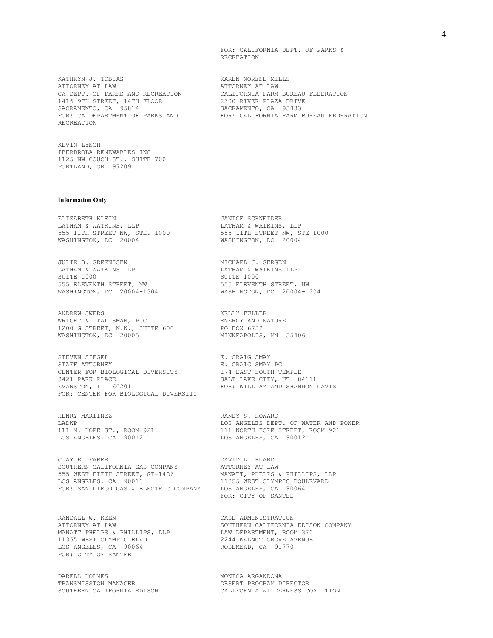FOR: CALIFORNIA DEPT. OF PARKS & RECREATION

KATHRYN J. TOBIAS KAREN NORENE MILLS ATTORNEY AT LAW ATTORNEY AT LAW 1416 9TH STREET, 14TH FLOOR 2300 RIVER PLAZA DRIVE SACRAMENTO, CA 95814 SACRAMENTO, CA 95833 RECREATION

KEVIN LYNCH IBERDROLA RENEWABLES INC 1125 NW COUCH ST., SUITE 700 PORTLAND, OR 97209

#### **Information Only**

ELIZABETH KLEIN JANICE SCHNEIDER LATHAM & WATKINS, LLP LATHAM & WATKINS, LLP 555 11TH STREET NW, STE. 1000 555 11TH STREET NW, STE 1000 WASHINGTON, DC 20004 WASHINGTON, DC 20004

JULIE B. GREENISEN MICHAEL J. GERGEN LATHAM & WATKINS LLP<br>
SUITE 1000<br>
SUITE 1000 555 ELEVENTH STREET, NW<br>WASHINGTON, DC 20004-1304 WASHINGTON, DC 20004-1304 WASHINGTON, DC 20004-1304 WASHINGTON, DC 20004-1304

ANDREW SWERS **EXECUTE:** KELLY FULLER WRIGHT & TALISMAN, P.C. ENERGY AND NATURE 1200 G STREET, N.W., SUITE 600 PO BOX 6732 WRIGHT & TALISMAN, P.C.<br>1200 G STREET, N.W., SUITE 600 PO BOX 6732<br>WASHINGTON, DC 20005 MINNEAPOLIS, MN 55406

STEVEN SIEGEL BARRY E. CRAIG SMAY STAFF ATTORNEY E. CRAIG SMAY PC CENTER FOR BIOLOGICAL DIVERSITY<br>3421 PARK PLACE EVANSTON, IL 60201 FOR: WILLIAM AND SHANNON DAVIS FOR: CENTER FOR BIOLOGICAL DIVERSITY

HENRY MARTINEZ<br>
LADWP<br>
LOS ANGELES DEPT LOS ANGELES, CA 90012 LOS ANGELES, CA 90012

CLAY E. FABER DAVID L. HUARD SOUTHERN CALIFORNIA GAS COMPANY **ATTORNEY AT LAW** 555 WEST FIFTH STREET, GT-14D6 MANATT, PHELPS & PHILLIPS, LLP LOS ANGELES, CA 90013 11355 WEST OLYMPIC BOULEVARD LOS ANGELES, CA 90013<br>FOR: SAN DIEGO GAS & ELECTRIC COMPANY LOS ANGELES, CA 90064

RANDALL W. KEEN CASE ADMINISTRATION MANATT PHELPS & PHILLIPS, LLP COMMINING DEPARTMENT, ROOM 370<br>11355 WEST OLYMPIC BLVD. 2244 WALNUT GROVE AVENUE 11355 WEST OLYMPIC BLVD.<br>108 ANGELES, CA 90064 ROSEMEAD, CA 91770 LOS ANGELES, CA 90064 FOR: CITY OF SANTEE

DARELL HOLMES SERVICES AND MONICA ARGANDONA TRANSMISSION MANAGER DESERT PROGRAM DIRECTOR

CA DEPT. OF PARKS AND RECREATION CALIFORNIA FARM BUREAU FEDERATION FOR: CA DEPARTMENT OF PARKS AND FOR: CALIFORNIA FARM BUREAU FEDERATION

SUITE 1000

SALT LAKE CITY, UT 84111

LADWP LOS ANGELES DEPT. OF WATER AND POWER 111 N. HOPE ST., ROOM 921 111 NORTH HOPE STREET, ROOM 921 111 NORTH HOPE STREET, ROOM 921<br>LOS ANGELES, CA 90012

FOR: CITY OF SANTEE

ATTORNEY AT LAW SOUTHERN CALIFORNIA EDISON COMPANY MANATT PHELPS & PHILLIPS, LLP LAW DEPARTMENT, ROOM 370

SOUTHERN CALIFORNIA EDISON CALIFORNIA WILDERNESS COALITION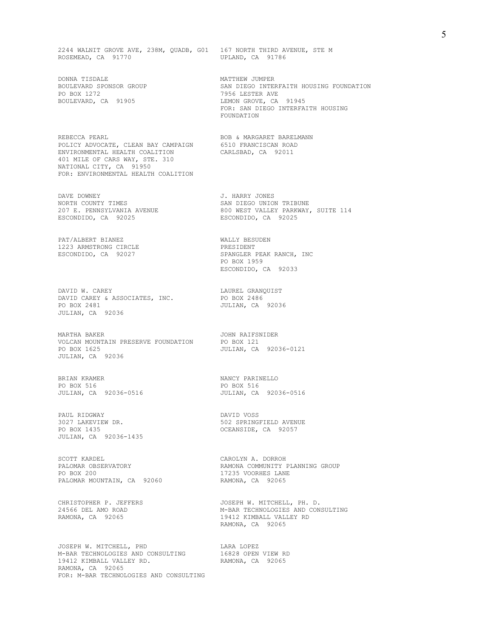2244 WALNIT GROVE AVE, 238M, QUADB, G01 167 NORTH THIRD AVENUE, STE M<br>ROSEMEAD, CA 91770 UPLAND, CA 91786 ROSEMEAD, CA 91770

DONNA TISDALE **MATTHEW** JUMPER PO BOX 1272 7956 LESTER AVE

REBECCA PEARL BOB & MARGARET BARELMANN POLICY ADVOCATE, CLEAN BAY CAMPAIGN 6510 FRANCISCAN ROAD ENVIRONMENTAL HEALTH COALITION CARLSBAD, CA 92011 401 MILE OF CARS WAY, STE. 310 NATIONAL CITY, CA 91950 FOR: ENVIRONMENTAL HEALTH COALITION

DAVE DOWNEY TIMES SAN DIEGO UNION COUNTY TIMES 207 E. PENNSYLVANIA AVENUE 1980 WEST VALLEY PARKWARSCONDIDO, CA 92025 ESCONDIDO, CA 92025 ESCONDIDO, CA 92025

PAT/ALBERT BIANEZ WALLY BESUDEN 1223 ARMSTRONG CIRCLE PRESIDENT

DAVID W. CAREY<br>
DAVID CAREY & ASSOCIATES, INC. PO BOX 2486 DAVID CAREY & ASSOCIATES, INC. PO BOX 2481 JULIAN, CA 92036 JULIAN, CA 92036

MARTHA BAKER JOHN RAIFSNIDER VOLCAN MOUNTAIN PRESERVE FOUNDATION PO BOX 121 PO BOX 1625 JULIAN, CA 92036-0121 JULIAN, CA 92036

BRIAN KRAMER<br>
PO BOX 516<br>
PO BOX 516<br>
PO BOX 516 JULIAN, CA 92036-0516 JULIAN, CA 92036-0516

PAUL RIDGWAY DAVID VOSS JULIAN, CA 92036-1435

SCOTT KARDEL (SOUTH ALL ONE OR SCOTT KARDEL AND SOUTH A LABORATION COMMUNITY I PO BOX 200 17235 VOORHES LANE PALOMAR MOUNTAIN, CA 92060 RAMONA, CA 92065

JOSEPH W. MITCHELL, PHD LARA LOPEZ M-BAR TECHNOLOGIES AND CONSULTING 16828 OPEN VIEW RD 19412 KIMBALL VALLEY RD. RAMONA, CA 92065 19412 KIMBALL VALLEY RD.<br>RAMONA, CA 92065 FOR: M-BAR TECHNOLOGIES AND CONSULTING

SAN DIEGO INTERFAITH HOUSING FOUNDATION<br>7956 LESTER AVE BOULEVARD, CA 91905 LEMON GROVE, CA 91945 FOR: SAN DIEGO INTERFAITH HOUSING FOUNDATION

SAN DIEGO UNION TRIBUNE<br>800 WEST VALLEY PARKWAY, SUITE 114

ESCONDIDO, CA 92027 SPANGLER PEAK RANCH, INC PO BOX 1959 ESCONDIDO, CA 92033

PO BOX 516<br>JULIAN, CA 92036-0516

3027 LAKEVIEW DR. 502 SPRINGFIELD AVENUE OCEANSIDE, CA 92057

RAMONA COMMUNITY PLANNING GROUP

CHRISTOPHER P. JEFFERS JOSEPH W. MITCHELL, PH. D. 24566 DEL AMO ROAD M-BAR TECHNOLOGIES AND CONSULTING 19412 KIMBALL VALLEY RD RAMONA, CA 92065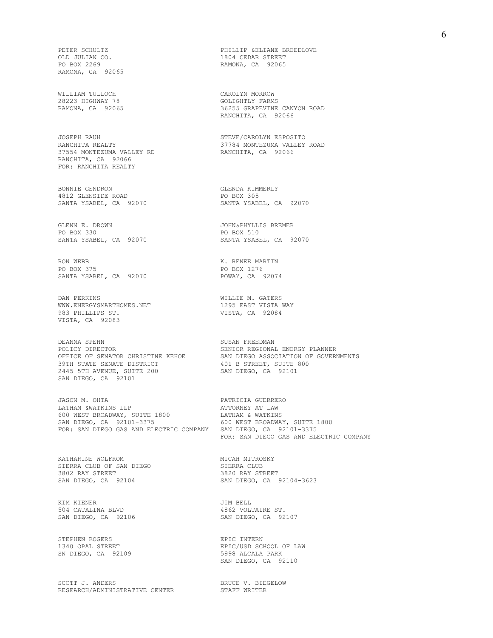RAMONA, CA 92065

WILLIAM TULLOCH CAROLYN MORROW CAROLYN ORROW CAROLYN MORROW

JOSEPH RAUH STEVE/CAROLYN ESPOSITO RANCHITA REALTY (2009) STEVE/CAROLYN ESPOSITO 37554 MONTEZUMA VALLEY RD RANCHITA, CA 92066 FOR: RANCHITA REALTY

BONNIE GENDRON GLENDA KIMMERLY 4812 GLENSIDE ROAD PO BOX 305

GLENN E. DROWN GALER STORE STORE STORE STORE STORE STORE BOX 330

RON WEBB K. RENEE MARTIN SANTA YSABEL, CA 92070

DAN PERKINS<br>
WWW.ENERGYSMARTHOMES.NET<br>
1295 EAST VISTA WAY WWW.ENERGYSMARTHOMES.NET 983 PHILLIPS ST. VISTA, CA 92084 VISTA, CA 92083

DEANNA SPEHN SUSAN FREEDMAN POLICY DIRECTOR **SENIOR REGIONAL ENERGY PLANNER** 39TH STATE SENATE DISTRICT 401 B STREET, SUITE 800 2445 5TH AVENUE, SUITE 200 SAN DIEGO, CA 92101 SAN DIEGO, CA 92101

JASON M. OHTA PATRICIA GUERRERO LATHAM &WATKINS LLP **ATTORNEY AT LAW** 600 WEST BROADWAY, SUITE 1800 LATHAM & WATKINS SAN DIEGO, CA 92101-3375 600 WEST BROADWAY, SUITE 1800 FOR: SAN DIEGO GAS AND ELECTRIC COMPANY SAN DIEGO, CA 92101-3375

KATHARINE WOLFROM MICAH MICAH MITROSKY SIERRA CLUB OF SAN DIEGO METAL MESSIERRA CLUB SIERRA CLUB OF SAN DIEGO 3802 RAY STREET 3820 RAY STREET SAN DIEGO, CA 92104

KIM KIENER JIM BELL 504 CATALINA BLVD 4862 VOLTAIRE ST.

STEPHEN ROGERS EPIC INTERN SN DIEGO, CA 92109

 ${\tt SCOTT~J.~ANDERS}~~{\tt BRUCE~V.~BIEGELOW}~~$   ${\tt RESEARCH/ADMINISTRATIVE~CENTER}~~{\tt STAFF~WRITER}$ RESEARCH/ADMINISTRATIVE CENTER

PETER SCHULTZ PHILLIP &ELIANE BREEDLOVE OLD JULIAN CO. 1804 CEDAR STREET RAMONA, CA 92065

GOLIGHTLY FARMS RAMONA, CA 92065 36255 GRAPEVINE CANYON ROAD RANCHITA, CA 92066

37784 MONTEZUMA VALLEY ROAD<br>RANCHITA, CA 92066

SANTA YSABEL, CA 92070 SANTA YSABEL, CA 92070

PO BOX 330 PO BOX 510 SANTA YSABEL, CA 92070 SANTA YSABEL, CA 92070

PO BOX 1276<br>POWAY, CA 92074

OFFICE OF SENATOR CHRISTINE KEHOE SAN DIEGO ASSOCIATION OF GOVERNMENTS

FOR: SAN DIEGO GAS AND ELECTRIC COMPANY

SAN DIEGO, CA 92104-3623

SAN DIEGO, CA 92106 SAN DIEGO, CA 92107

EPIC/USD SCHOOL OF LAW<br>5998 ALCALA PARK SAN DIEGO, CA 92110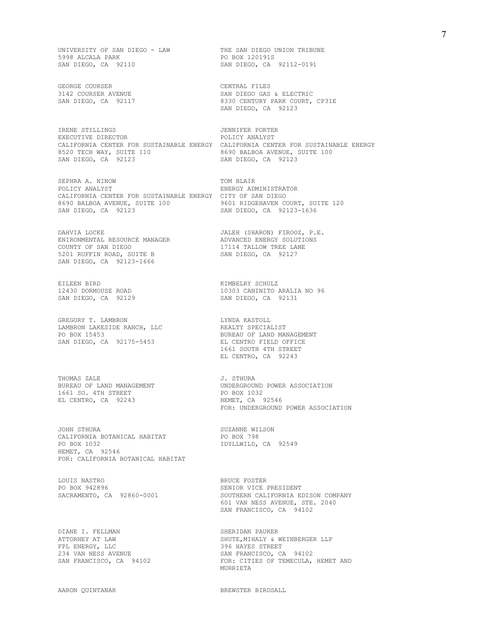UNIVERSITY OF SAN DIEGO - LAW THE SAN DIEGO UNION TRIBUNE 5998 ALCALA PARK PO BOX 120191S SAN DIEGO, CA 92110 SAN DIEGO, CA 92112-0191

GEORGE COURSER CENTRAL FILES

IRENE STILLINGS JENNIFER PORTER EXECUTIVE DIRECTOR **EXECUTIVE** DIRECTOR CALIFORNIA CENTER FOR SUSTAINABLE ENERGY CALIFORNIA CENTER FOR SUSTAINABLE ENERGY<br>8520 TECH WAY, SUITE 110 3690 BALBOA AVENUE, SUITE 100 8520 TECH WAY, SUITE 110<br>SAN DIEGO, CA 92123

SEPHRA A. NINOW TOM BLAIR POLICY ANALYST FINERGY ADM CALIFORNIA CENTER FOR SUSTAINABLE ENERGY CITY OF SAN DIEGO<br>8690 BALBOA AVENUE, SUITE 100 9601 RIDGEHAVEN COURT, SUITE 120 8690 BALBOA AVENUE, SUITE 100 SAN DIEGO, CA 92123 SAN DIEGO, CA 92123-1636

DAHVIA LOCKE JALEH (SHARON) FIROOZ, P.E. ENIRONMENTAL RESOURCE MANAGER ADVANCED ENERGY SOLUTIONS COUNTY OF SAN DIEGO 17114 TALLOW TREE LANE 5201 RUFFIN ROAD, SUITE B SAN DIEGO, CA 92127 SAN DIEGO, CA 92123-1666

EILEEN BIRD KIMBELRY SCHULZ

GREGORY T. LAMBRON LYNDA KASTOLL LAMBRON LAKESIDE RANCH, LLC BERLER REALTY SPECIALIST PO BOX 15453 BUREAU OF LAND MANAGEMENT SAN DIEGO, CA 92175-5453 EL CENTRO FIELD OFFICE

BUREAU OF LAND MANAGEMENT UNDERGROUND 1661 SO. 4TH STREET STREET 1661 SO. 4TH STREET PO BOX 1032 EL CENTRO, CA 92243

JOHN STHURA SUZANNE WILSON CALIFORNIA BOTANICAL HABITAT PO BOX 798 PO BOX 1032 IDYLLWILD, CA 92549 HEMET, CA 92546 FOR: CALIFORNIA BOTANICAL HABITAT

LOUIS NASTRO<br>
PO BOX 942896<br>
BRUCE FOSTER<br>
BRUCE FOSTER SACRAMENTO, CA 92860-0001

DIANE I. FELLMAN SHERIDAN PAUKER SHERIDAN PAUKER SHERIDAN SHUTE. SHUTE SHUTE SHUTE SHUTE SHUTE SHUTE SHUTE SHUTE SHUTE SHUTE SHUTE SHUTE SHUTE SHUTE SHUTE SHUTE SHUTE SHUTE SHUTE SHUTE SHUTE SHUTE SHUTE SHUTE SHUTE SHUTE S

 ${\small \begin{tabular}{lcccccc}3142 & COURSER & AVENUE & & & & & & \text{SAN DIEGO} & GAS & ELECTRIC \\ SAN DIEGO, & CA & 92117 & & & & & & & 8330 & CENTURY & PARK COURT, \end{tabular}}$ 8330 CENTURY PARK COURT, CP31E SAN DIEGO, CA 92123

SAN DIEGO, CA 92123

ENERGY ADMINISTRATOR

12430 DORMOUSE ROAD 10303 CANINITO ARALIA NO 96 SAN DIEGO, CA 92129 SAN DIEGO, CA 92131

> 1661 SOUTH 4TH STREET EL CENTRO, CA 92243

THOMAS ZALE J. STHURA FOR: UNDERGROUND POWER ASSOCIATION

SENIOR VICE PRESIDENT<br>SOUTHERN CALIFORNIA EDISON COMPANY 601 VAN NESS AVENUE, STE. 2040 SAN FRANCISCO, CA 94102

SHUTE, MIHALY & WEINBERGER LLP FPL ENERGY, LLC<br>
234 VAN NESS AVENUE<br>
234 VAN NESS AVENUE<br>
234 VAN NESS AVENUE 234 VAN NESS AVENUE SAN FRANCISCO, CA 94102 SAN FRANCISCO, CA 94102 FOR: CITIES OF TEMECULA, HEMET AND MURRIETA

AARON QUINTANAR BREWSTER BIRDSALL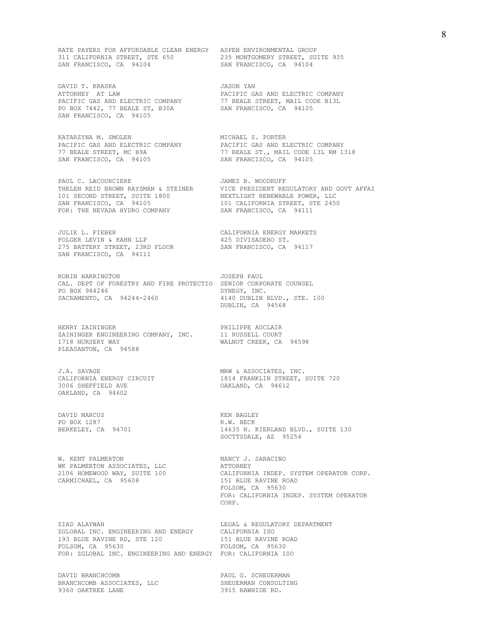RATE PAYERS FOR AFFORDABLE CLEAN ENERGY ASPEN ENVIRONMENTAL GROUP 311 CALIFORNIA STREET, STE 650 235 MONTGOMERY STREET, SUITE 935 SAN FRANCISCO, CA 94104 SAN FRANCISCO, CA 94104

DAVID T. KRASKA JASON YAN JASON YAN ATTORNEY AT LAW PO BOX 7442, 77 BEALE ST, B30A SAN FRANCISCO, CA 94105 SAN FRANCISCO, CA 94105

KATARZYNA M. SMOLEN MICHAEL S. PORTER SAN FRANCISCO, CA 94105 SAN FRANCISCO, CA 94105

PAUL C. LACOURCIERE **JAMES B. WOODRUFF** 101 SECOND STREET, SUITE 1800 NEXTLIGHT RENEWABLE POWER, LLC SAN FRANCISCO, CA 94105 101 CALIFORNIA STREET, STE 2450

JULIE L. FIEBER CALIFORNIA ENERGY MARKETS FOLGER LEVIN & KAHN LLP 425 DIVISADERO ST. 275 BATTERY STREET, 23RD FLOOR SAN FRANCISCO, CA 94117 SAN FRANCISCO, CA 94111

ROBIN HARRINGTON **JOSEPH PAUL** CAL. DEPT OF FORESTRY AND FIRE PROTECTIO SENIOR CORPORATE COUNSEL PO BOX 944246 PO BOX 944246<br>SACRAMENTO, CA 94244-2460

HENRY ZAININGER PHILIPPE AUCLAIR ZAININGER ENGINEERING COMPANY, INC. 11 RUSSELL COURT 1718 NURSERY WAY WALNUT CREEK, CA 94598 PLEASANTON, CA 94588

CALIFORNIA ENERGY CIRCUIT<br>3006 SHEFFIELD AVE OAKLAND, CA 94602

DAVID MARCUS KEN BAGLEY PO BOX 1287 R.W. BECK

W. KENT PALMERTON NANCY J. SARACINO WK PALMERTON ASSOCIATES, LLC<br>2106 HOMEWOOD WAY, SUITE 100 CALIFORNI CARMICHAEL, CA 95608 151 BLUE RAVINE ROAD

ZIAD ALAYWAN 125 EXTERNAL REGAL & REGULATORY DEPARTMENT 1999 EXECUTE AND REGAL ASSESSED TO CALIFORNIA TSO ZGLOBAL INC. ENGINEERING AND ENERGY CALIFORNIA ISO 193 BLUE RAVINE RD, STE 120 FOLSOM, CA 95630 FOLSOM, CA 95630 FOR: ZGLOBAL INC. ENGINEERING AND ENERGY FOR: CALIFORNIA ISO

DAVID BRANCHCOMB PAUL G. SCHEUERMAN BRANCHCOMB ASSOCIATES, LLC SHEUERMAN CONSULTING 9360 OAKTREE LANE 3915 RAWHIDE RD.

PACIFIC GAS AND ELECTRIC COMPANY<br>77 BEALE STREET, MAIL CODE B13L PACIFIC GAS AND ELECTRIC COMPANY 77 BEALE STREET, MAIL CODE B13L

PACIFIC GAS AND ELECTRIC COMPANY PACIFIC GAS AND ELECTRIC COMPANY 77 BEALE STREET, MC B9A 77 BEALE ST., MAIL CODE 13L RM 1318

THELEN REID BROWN RAYSMAN & STEINER VICE PRESIDENT REGULATORY AND GOVT AFFAI FOR: THE NEVADA HYDRO COMPANY SAN FRANCISCO, CA 94111

4140 DUBLIN BLVD., STE. 100 DUBLIN, CA 94568

J.A. SAVAGE<br>CALIFORNIA ENERGY CIRCUIT THE MAN & ASSOCIATES, INC.<br>1814 FRANKLIN STREET, SUITE 720 OAKLAND, CA 94612

> 14635 N. KIERLAND BLVD., SUITE 130 SOCTTSDALE, AZ 95254

CALIFORNIA INDEP. SYSTEM OPERATOR CORP. FOLSOM, CA 95630 FOR: CALIFORNIA INDEP. SYSTEM OPERATOR **CORP.**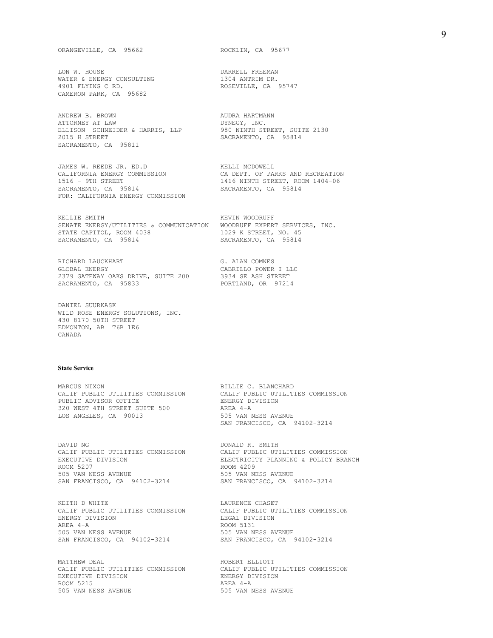LON W. HOUSE DARRELL FREEMAN WATER & ENERGY CONSULTING<br>4901 FLYING C RD. CAMERON PARK, CA 95682

ANDREW B. BROWN AUDRA HARTMANN ATTORNEY AT LAW **EXECUTE:** DYNEGY, INC. ELLISON SCHNEIDER & HARRIS, LLP 980 NINTH STREET, SUITE 2130 2015 H STREET SACRAMENTO, CA 95814 SACRAMENTO, CA 95811

JAMES W. REEDE JR. ED.D KELLI MCDOWELL CALIFORNIA ENERGY COMMISSION<br>1516 - 9TH STREET SACRAMENTO, CA 95814 FOR: CALIFORNIA ENERGY COMMISSION

KELLIE SMITH **KEVIN WOODRUFF** SENATE ENERGY/UTILITIES & COMMUNICATION WOODRUFF EXPERT SERVICES, INC. STATE CAPITOL, ROOM 4038 1029 K STREET, NO. 45 SACRAMENTO, CA 95814 SACRAMENTO, CA 95814

RICHARD LAUCKHART G. ALAN COMNES<br>GLOBAL ENERGY GARRILLO POWER 2379 GATEWAY OAKS DRIVE, SUITE 200 3934 SE ASH STREET SACRAMENTO, CA 95833 SACRAMENTO, CA 95833

DANIEL SUURKASK WILD ROSE ENERGY SOLUTIONS, INC. 430 8170 50TH STREET EDMONTON, AB T6B 1E6 CANADA

#### **State Service**

MARCUS NIXON BILLIE C. BLANCHARD CALIF PUBLIC UTILITIES COMMISSION CALIF PUBLIC UTILITIES COMMISSION<br>PUBLIC ADVISOR OFFICE **ENERGY DIVISION** PUBLIC ADVISOR OFFICE ENERGY DIVISION 320 WEST 4TH STREET SUITE 500 AREA 4-A LOS ANGELES, CA 90013

DAVID NG  $\qquad \qquad$  DONALD R. SMITH ROOM 5207 ROOM 4209 SAN FRANCISCO, CA 94102-3214 SAN FRANCISCO, CA 94102-3214

------<br>CALIF PUBLIC UTILITIES COMMISSION<br>ENERGY DIVISION AREA 4-A ROOM 5131 505 VAN NESS AVENUE 505 VAN NESS AVENUE SAN FRANCISCO, CA 94102-3214

MATTHEW DEAL **ROBERT ELLIOTT** CALIF PUBLIC UTILITIES COMMISSION CALIF PUBLIC UTILITIES COMMISSION EXECUTIVE DIVISION EXECUTIVE DIVISION<br>
ROOM 5215<br>
ROOM 5215 ROOM 5215<br>505 VAN NESS AVENUE

ROSEVILLE, CA 95747

1416 NINTH STREET, ROOM 1404-06<br>SACRAMENTO, CA 95814

CABRILLO POWER I LLC<br>3934 SE ASH STREET

SAN FRANCISCO, CA 94102-3214

CALIF PUBLIC UTILITIES COMMISSION CALIF PUBLIC UTILITIES COMMISSION<br>EXECUTIVE DIVISION CALIFIC DELECTRICITY PLANNING & POLICY BRAI ELECTRICITY PLANNING & POLICY BRANCH 505 VAN NESS AVENUE 505 VAN NESS AVENUE

KEITH D WHITE<br>
CALIF PUBLIC UTILITIES COMMISSION CALIF PUBLIC UTILITIES COMMISSION LEGAL DIVISION

505 VAN NESS AVENUE 505 VAN NESS AVENUE